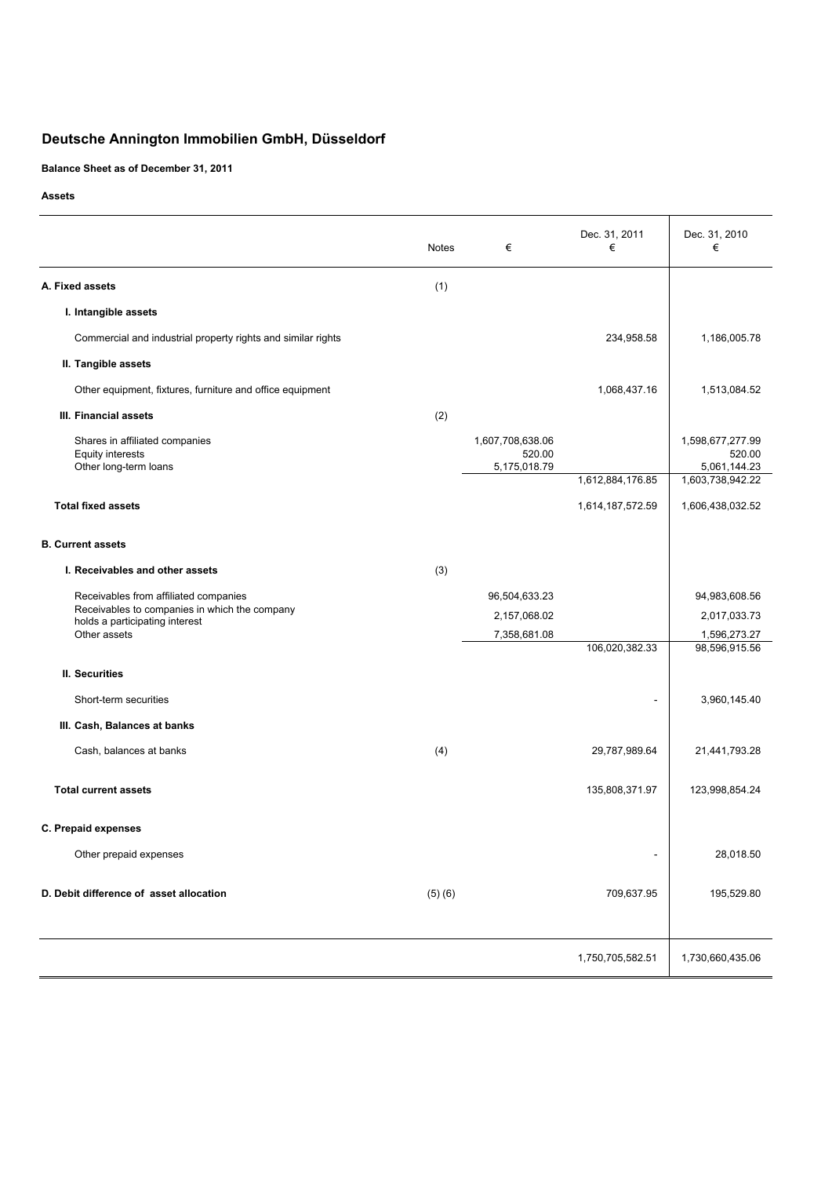# **Deutsche Annington Immobilien GmbH, Düsseldorf**

**Balance Sheet as of December 31, 2011**

**Assets**

|                                                                                    | <b>Notes</b> | €                                          | Dec. 31, 2011<br>€ | Dec. 31, 2010<br>€                                             |
|------------------------------------------------------------------------------------|--------------|--------------------------------------------|--------------------|----------------------------------------------------------------|
| A. Fixed assets                                                                    | (1)          |                                            |                    |                                                                |
| I. Intangible assets                                                               |              |                                            |                    |                                                                |
| Commercial and industrial property rights and similar rights                       |              |                                            | 234,958.58         | 1,186,005.78                                                   |
| II. Tangible assets                                                                |              |                                            |                    |                                                                |
| Other equipment, fixtures, furniture and office equipment                          |              |                                            | 1,068,437.16       | 1,513,084.52                                                   |
| III. Financial assets                                                              | (2)          |                                            |                    |                                                                |
| Shares in affiliated companies<br><b>Equity interests</b><br>Other long-term loans |              | 1,607,708,638.06<br>520.00<br>5,175,018.79 | 1,612,884,176.85   | 1,598,677,277.99<br>520.00<br>5,061,144.23<br>1,603,738,942.22 |
| <b>Total fixed assets</b>                                                          |              |                                            | 1,614,187,572.59   | 1,606,438,032.52                                               |
| <b>B. Current assets</b>                                                           |              |                                            |                    |                                                                |
| I. Receivables and other assets                                                    | (3)          |                                            |                    |                                                                |
| Receivables from affiliated companies                                              |              | 96,504,633.23                              |                    | 94,983,608.56                                                  |
| Receivables to companies in which the company<br>holds a participating interest    |              | 2,157,068.02                               |                    | 2,017,033.73                                                   |
| Other assets                                                                       |              | 7,358,681.08                               | 106,020,382.33     | 1,596,273.27<br>98,596,915.56                                  |
| II. Securities                                                                     |              |                                            |                    |                                                                |
| Short-term securities                                                              |              |                                            |                    | 3,960,145.40                                                   |
| III. Cash, Balances at banks                                                       |              |                                            |                    |                                                                |
| Cash, balances at banks                                                            | (4)          |                                            | 29,787,989.64      | 21,441,793.28                                                  |
| <b>Total current assets</b>                                                        |              |                                            | 135,808,371.97     | 123,998,854.24                                                 |
| C. Prepaid expenses                                                                |              |                                            |                    |                                                                |
| Other prepaid expenses                                                             |              |                                            | ٠                  | 28,018.50                                                      |
| D. Debit difference of asset allocation                                            | (5)(6)       |                                            | 709,637.95         | 195,529.80                                                     |
|                                                                                    |              |                                            | 1,750,705,582.51   | 1,730,660,435.06                                               |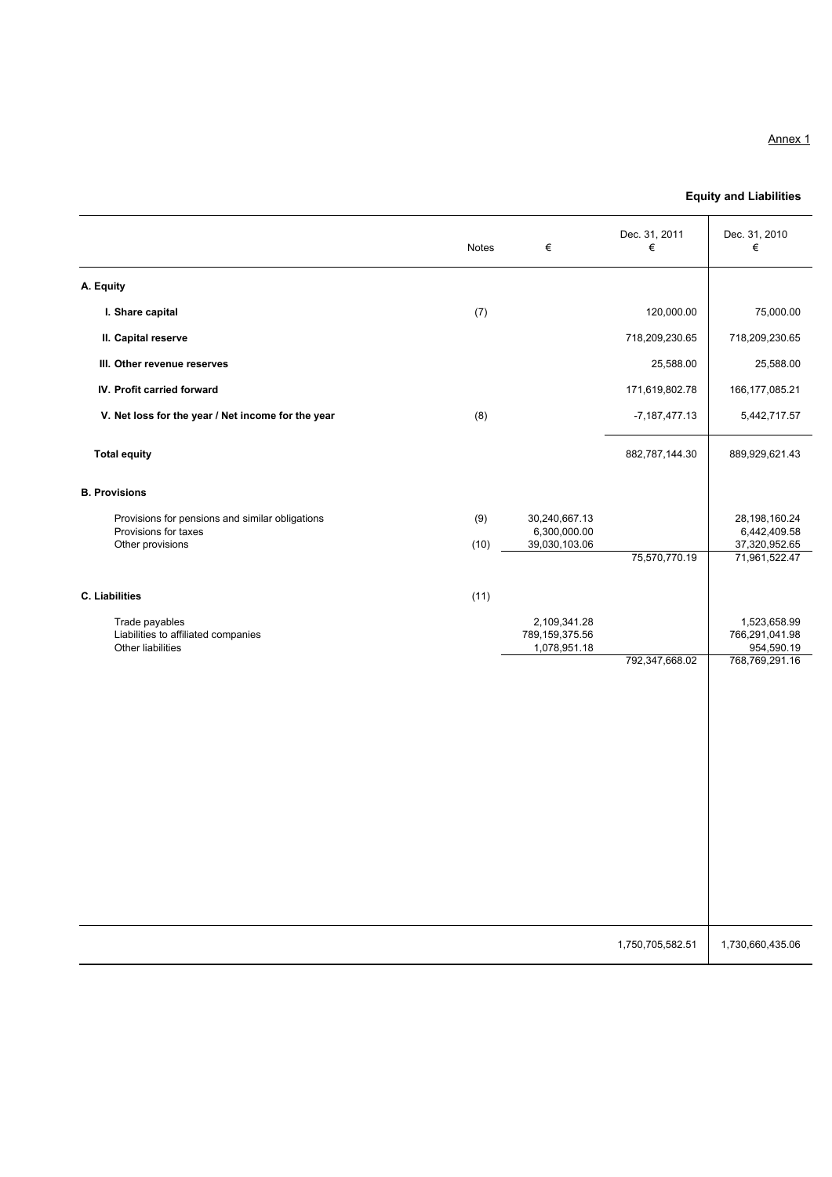#### Annex 1

# **Equity and Liabilities**

|                                                                            | Notes | €                                              | Dec. 31, 2011<br>€ | Dec. 31, 2010<br>€                           |
|----------------------------------------------------------------------------|-------|------------------------------------------------|--------------------|----------------------------------------------|
| A. Equity                                                                  |       |                                                |                    |                                              |
| I. Share capital                                                           | (7)   |                                                | 120,000.00         | 75,000.00                                    |
| II. Capital reserve                                                        |       |                                                | 718,209,230.65     | 718,209,230.65                               |
| III. Other revenue reserves                                                |       |                                                | 25,588.00          | 25,588.00                                    |
| IV. Profit carried forward                                                 |       |                                                | 171,619,802.78     | 166, 177, 085. 21                            |
| V. Net loss for the year / Net income for the year                         | (8)   |                                                | $-7,187,477.13$    | 5,442,717.57                                 |
| <b>Total equity</b>                                                        |       |                                                | 882,787,144.30     | 889,929,621.43                               |
| <b>B. Provisions</b>                                                       |       |                                                |                    |                                              |
| Provisions for pensions and similar obligations<br>Provisions for taxes    | (9)   | 30,240,667.13<br>6,300,000.00                  |                    | 28,198,160.24<br>6,442,409.58                |
| Other provisions                                                           | (10)  | 39,030,103.06                                  | 75,570,770.19      | 37,320,952.65<br>71,961,522.47               |
| C. Liabilities                                                             | (11)  |                                                |                    |                                              |
| Trade payables<br>Liabilities to affiliated companies<br>Other liabilities |       | 2,109,341.28<br>789,159,375.56<br>1,078,951.18 |                    | 1,523,658.99<br>766,291,041.98<br>954,590.19 |
|                                                                            |       |                                                | 792,347,668.02     | 768,769,291.16                               |
|                                                                            |       |                                                | 1,750,705,582.51   | 1,730,660,435.06                             |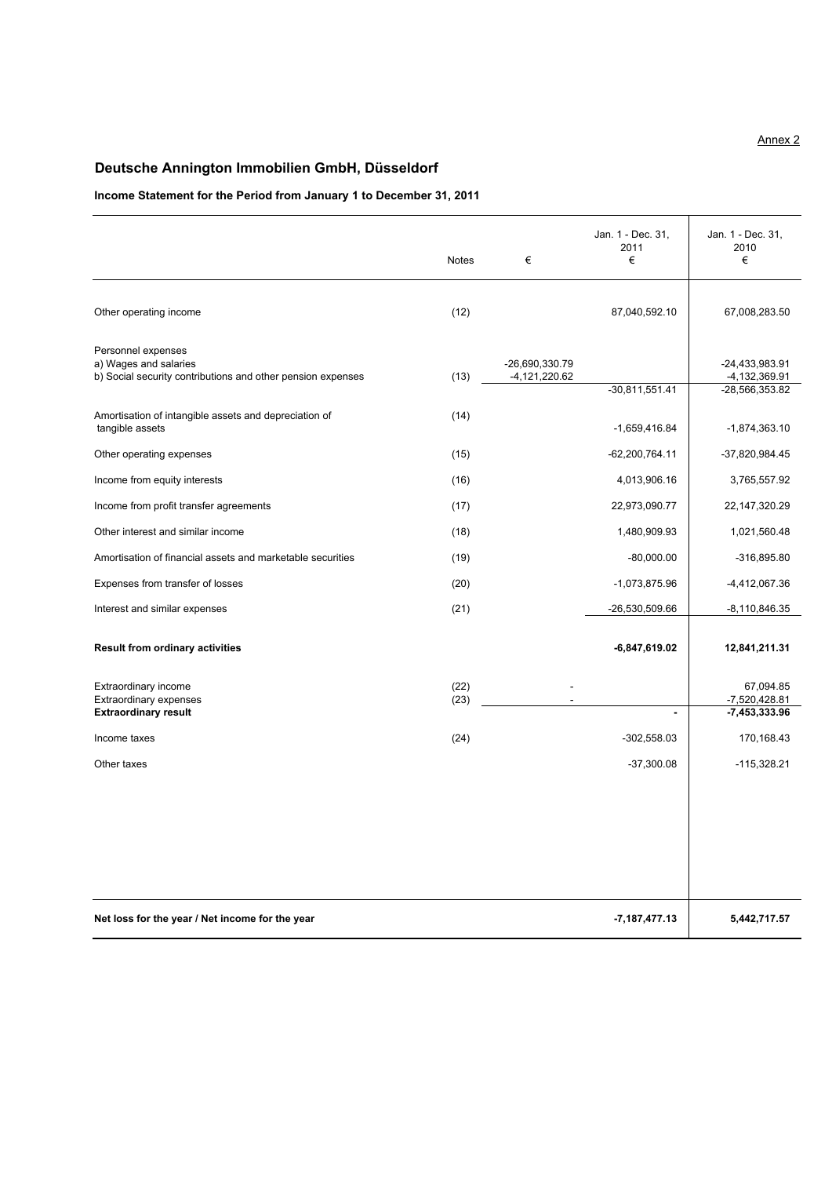# **Deutsche Annington Immobilien GmbH, Düsseldorf**

## **Income Statement for the Period from January 1 to December 31, 2011**

|                                                                                                            | <b>Notes</b> | €                                 | Jan. 1 - Dec. 31,<br>2011<br>€ | Jan. 1 - Dec. 31,<br>2010<br>€                      |
|------------------------------------------------------------------------------------------------------------|--------------|-----------------------------------|--------------------------------|-----------------------------------------------------|
| Other operating income                                                                                     | (12)         |                                   | 87,040,592.10                  | 67,008,283.50                                       |
| Personnel expenses<br>a) Wages and salaries<br>b) Social security contributions and other pension expenses | (13)         | -26,690,330.79<br>$-4,121,220.62$ | $-30,811,551.41$               | $-24,433,983.91$<br>-4,132,369.91<br>-28,566,353.82 |
| Amortisation of intangible assets and depreciation of<br>tangible assets                                   | (14)         |                                   | $-1,659,416.84$                | $-1,874,363.10$                                     |
| Other operating expenses                                                                                   | (15)         |                                   | $-62,200,764.11$               | -37,820,984.45                                      |
| Income from equity interests                                                                               | (16)         |                                   | 4,013,906.16                   | 3,765,557.92                                        |
| Income from profit transfer agreements                                                                     | (17)         |                                   | 22,973,090.77                  | 22, 147, 320. 29                                    |
| Other interest and similar income                                                                          | (18)         |                                   | 1,480,909.93                   | 1,021,560.48                                        |
| Amortisation of financial assets and marketable securities                                                 | (19)         |                                   | $-80,000.00$                   | $-316,895.80$                                       |
| Expenses from transfer of losses                                                                           | (20)         |                                   | $-1,073,875.96$                | -4,412,067.36                                       |
| Interest and similar expenses                                                                              | (21)         |                                   | -26,530,509.66                 | -8,110,846.35                                       |
| <b>Result from ordinary activities</b>                                                                     |              |                                   | -6,847,619.02                  | 12,841,211.31                                       |
| Extraordinary income<br>Extraordinary expenses<br><b>Extraordinary result</b>                              | (22)<br>(23) |                                   | $\blacksquare$                 | 67,094.85<br>$-7,520,428.81$<br>$-7,453,333.96$     |
| Income taxes                                                                                               | (24)         |                                   | $-302,558.03$                  | 170,168.43                                          |
| Other taxes                                                                                                |              |                                   | $-37,300.08$                   | $-115,328.21$                                       |
|                                                                                                            |              |                                   |                                |                                                     |
| Net loss for the year / Net income for the year                                                            |              |                                   | $-7, 187, 477.13$              | 5,442,717.57                                        |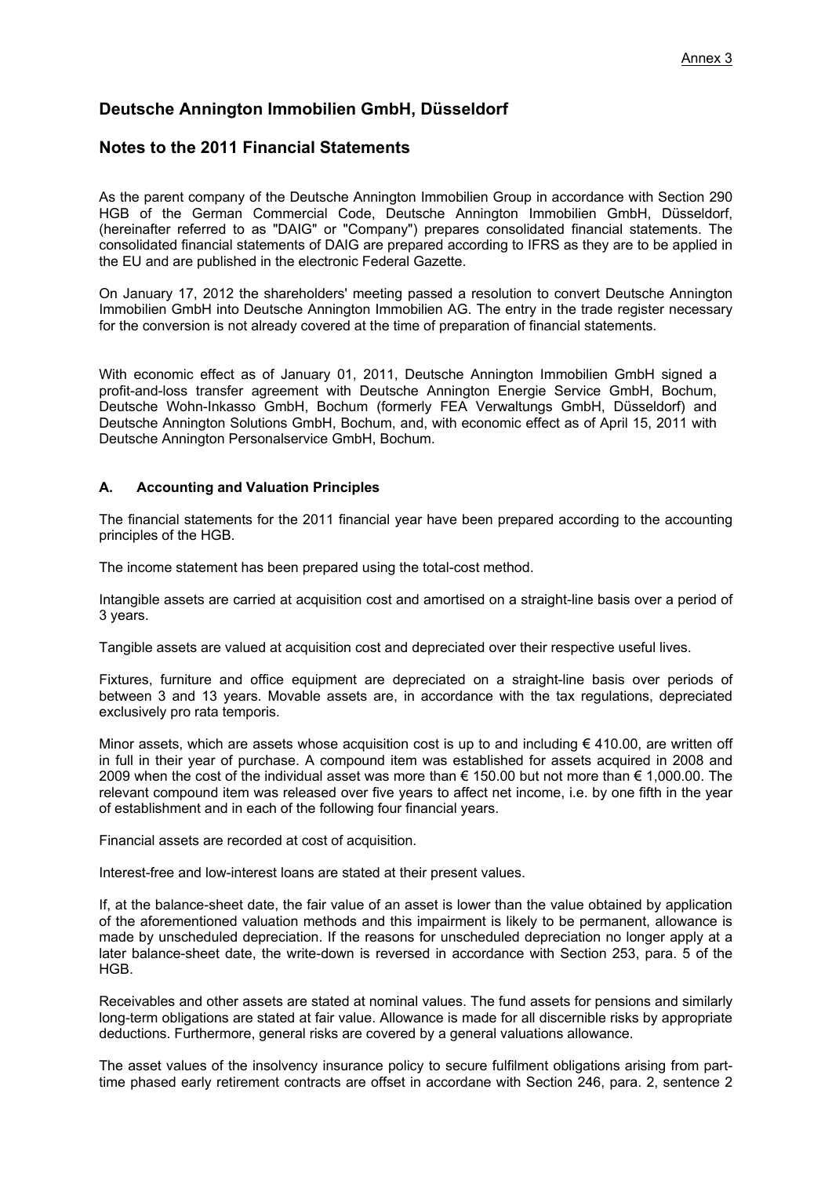# **Deutsche Annington Immobilien GmbH, Düsseldorf**

## **Notes to the 2011 Financial Statements**

As the parent company of the Deutsche Annington Immobilien Group in accordance with Section 290 HGB of the German Commercial Code, Deutsche Annington Immobilien GmbH, Düsseldorf, (hereinafter referred to as "DAIG" or "Company") prepares consolidated financial statements. The consolidated financial statements of DAIG are prepared according to IFRS as they are to be applied in the EU and are published in the electronic Federal Gazette.

On January 17, 2012 the shareholders' meeting passed a resolution to convert Deutsche Annington Immobilien GmbH into Deutsche Annington Immobilien AG. The entry in the trade register necessary for the conversion is not already covered at the time of preparation of financial statements.

With economic effect as of January 01, 2011, Deutsche Annington Immobilien GmbH signed a profit-and-loss transfer agreement with Deutsche Annington Energie Service GmbH, Bochum, Deutsche Wohn-Inkasso GmbH, Bochum (formerly FEA Verwaltungs GmbH, Düsseldorf) and Deutsche Annington Solutions GmbH, Bochum, and, with economic effect as of April 15, 2011 with Deutsche Annington Personalservice GmbH, Bochum.

#### **A. Accounting and Valuation Principles**

The financial statements for the 2011 financial year have been prepared according to the accounting principles of the HGB.

The income statement has been prepared using the total-cost method.

Intangible assets are carried at acquisition cost and amortised on a straight-line basis over a period of 3 years.

Tangible assets are valued at acquisition cost and depreciated over their respective useful lives.

Fixtures, furniture and office equipment are depreciated on a straight-line basis over periods of between 3 and 13 years. Movable assets are, in accordance with the tax regulations, depreciated exclusively pro rata temporis.

Minor assets, which are assets whose acquisition cost is up to and including  $\epsilon$  410.00, are written off in full in their year of purchase. A compound item was established for assets acquired in 2008 and 2009 when the cost of the individual asset was more than € 150.00 but not more than € 1,000.00. The relevant compound item was released over five years to affect net income, i.e. by one fifth in the year of establishment and in each of the following four financial years.

Financial assets are recorded at cost of acquisition.

Interest-free and low-interest loans are stated at their present values.

If, at the balance-sheet date, the fair value of an asset is lower than the value obtained by application of the aforementioned valuation methods and this impairment is likely to be permanent, allowance is made by unscheduled depreciation. If the reasons for unscheduled depreciation no longer apply at a later balance-sheet date, the write-down is reversed in accordance with Section 253, para. 5 of the HGB.

Receivables and other assets are stated at nominal values. The fund assets for pensions and similarly long-term obligations are stated at fair value. Allowance is made for all discernible risks by appropriate deductions. Furthermore, general risks are covered by a general valuations allowance.

The asset values of the insolvency insurance policy to secure fulfilment obligations arising from parttime phased early retirement contracts are offset in accordane with Section 246, para. 2, sentence 2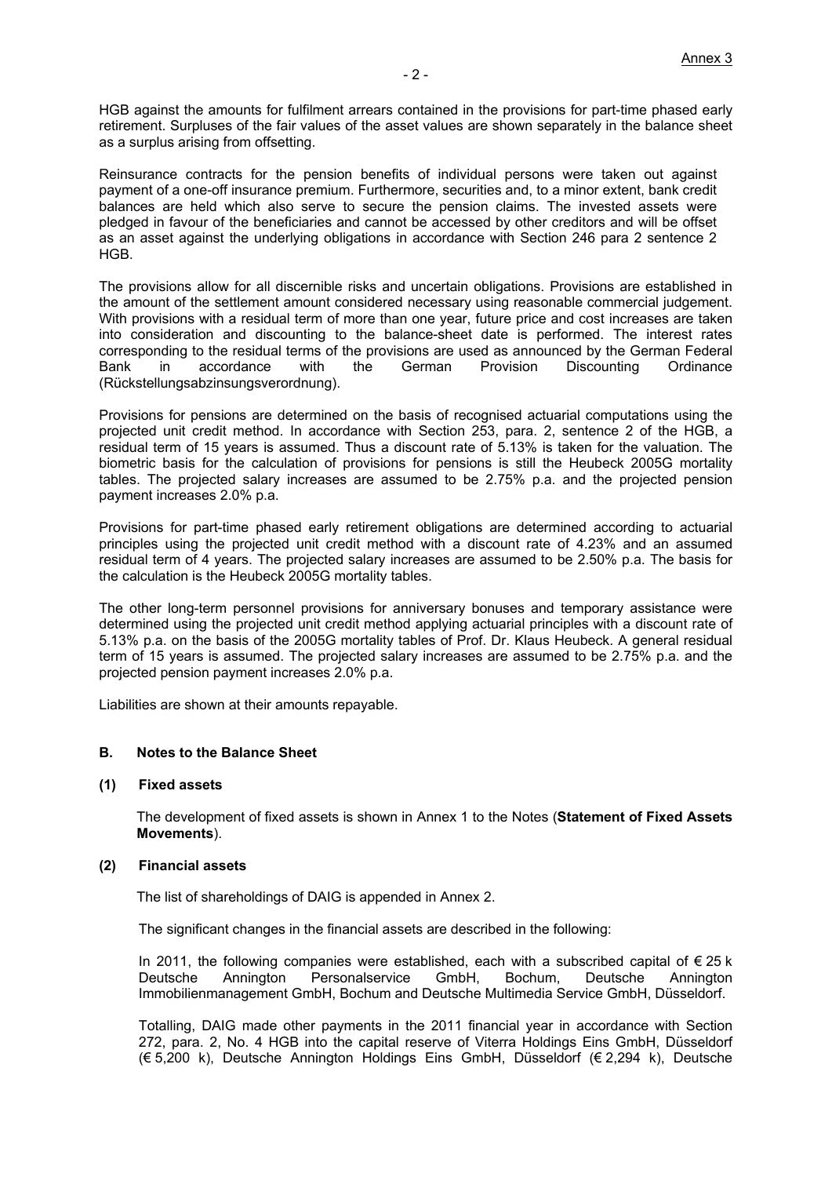HGB against the amounts for fulfilment arrears contained in the provisions for part-time phased early retirement. Surpluses of the fair values of the asset values are shown separately in the balance sheet as a surplus arising from offsetting.

Reinsurance contracts for the pension benefits of individual persons were taken out against payment of a one-off insurance premium. Furthermore, securities and, to a minor extent, bank credit balances are held which also serve to secure the pension claims. The invested assets were pledged in favour of the beneficiaries and cannot be accessed by other creditors and will be offset as an asset against the underlying obligations in accordance with Section 246 para 2 sentence 2 HGB.

The provisions allow for all discernible risks and uncertain obligations. Provisions are established in the amount of the settlement amount considered necessary using reasonable commercial judgement. With provisions with a residual term of more than one year, future price and cost increases are taken into consideration and discounting to the balance-sheet date is performed. The interest rates corresponding to the residual terms of the provisions are used as announced by the German Federal Bank in accordance with the German Provision Discounting Ordinance (Rückstellungsabzinsungsverordnung).

Provisions for pensions are determined on the basis of recognised actuarial computations using the projected unit credit method. In accordance with Section 253, para. 2, sentence 2 of the HGB, a residual term of 15 years is assumed. Thus a discount rate of 5.13% is taken for the valuation. The biometric basis for the calculation of provisions for pensions is still the Heubeck 2005G mortality tables. The projected salary increases are assumed to be 2.75% p.a. and the projected pension payment increases 2.0% p.a.

Provisions for part-time phased early retirement obligations are determined according to actuarial principles using the projected unit credit method with a discount rate of 4.23% and an assumed residual term of 4 years. The projected salary increases are assumed to be 2.50% p.a. The basis for the calculation is the Heubeck 2005G mortality tables.

The other long-term personnel provisions for anniversary bonuses and temporary assistance were determined using the projected unit credit method applying actuarial principles with a discount rate of 5.13% p.a. on the basis of the 2005G mortality tables of Prof. Dr. Klaus Heubeck. A general residual term of 15 years is assumed. The projected salary increases are assumed to be 2.75% p.a. and the projected pension payment increases 2.0% p.a.

Liabilities are shown at their amounts repayable.

#### **B. Notes to the Balance Sheet**

#### **(1) Fixed assets**

The development of fixed assets is shown in Annex 1 to the Notes (**Statement of Fixed Assets Movements**).

#### **(2) Financial assets**

The list of shareholdings of DAIG is appended in Annex 2.

The significant changes in the financial assets are described in the following:

In 2011, the following companies were established, each with a subscribed capital of €25 k Deutsche Annington Personalservice GmbH, Bochum, Deutsche Annington Immobilienmanagement GmbH, Bochum and Deutsche Multimedia Service GmbH, Düsseldorf.

Totalling, DAIG made other payments in the 2011 financial year in accordance with Section 272, para. 2, No. 4 HGB into the capital reserve of Viterra Holdings Eins GmbH, Düsseldorf (€ 5,200 k), Deutsche Annington Holdings Eins GmbH, Düsseldorf (€ 2,294 k), Deutsche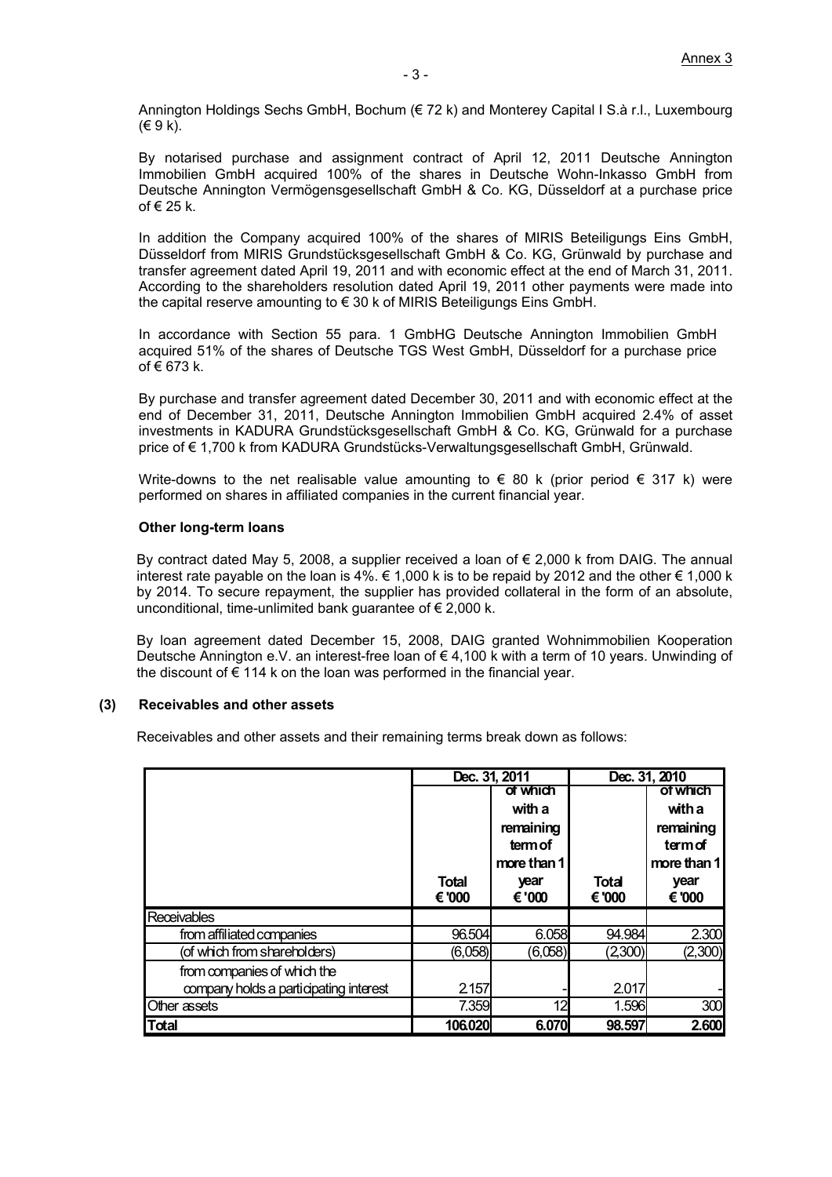Annington Holdings Sechs GmbH, Bochum (€ 72 k) and Monterey Capital I S.à r.l., Luxembourg (€ 9 k).

By notarised purchase and assignment contract of April 12, 2011 Deutsche Annington Immobilien GmbH acquired 100% of the shares in Deutsche Wohn-Inkasso GmbH from Deutsche Annington Vermögensgesellschaft GmbH & Co. KG, Düsseldorf at a purchase price of € 25 k.

In addition the Company acquired 100% of the shares of MIRIS Beteiligungs Eins GmbH, Düsseldorf from MIRIS Grundstücksgesellschaft GmbH & Co. KG, Grünwald by purchase and transfer agreement dated April 19, 2011 and with economic effect at the end of March 31, 2011. According to the shareholders resolution dated April 19, 2011 other payments were made into the capital reserve amounting to € 30 k of MIRIS Beteiligungs Eins GmbH.

In accordance with Section 55 para. 1 GmbHG Deutsche Annington Immobilien GmbH acquired 51% of the shares of Deutsche TGS West GmbH, Düsseldorf for a purchase price of € 673 k.

By purchase and transfer agreement dated December 30, 2011 and with economic effect at the end of December 31, 2011, Deutsche Annington Immobilien GmbH acquired 2.4% of asset investments in KADURA Grundstücksgesellschaft GmbH & Co. KG, Grünwald for a purchase price of € 1,700 k from KADURA Grundstücks-Verwaltungsgesellschaft GmbH, Grünwald.

Write-downs to the net realisable value amounting to  $\epsilon$  80 k (prior period  $\epsilon$  317 k) were performed on shares in affiliated companies in the current financial year.

#### **Other long-term loans**

By contract dated May 5, 2008, a supplier received a loan of € 2,000 k from DAIG. The annual interest rate payable on the loan is 4%.  $\in$  1,000 k is to be repaid by 2012 and the other  $\in$  1,000 k by 2014. To secure repayment, the supplier has provided collateral in the form of an absolute, unconditional, time-unlimited bank quarantee of  $\epsilon$  2,000 k.

By loan agreement dated December 15, 2008, DAIG granted Wohnimmobilien Kooperation Deutsche Annington e.V. an interest-free loan of € 4,100 k with a term of 10 years. Unwinding of the discount of  $\epsilon$  114 k on the loan was performed in the financial year.

#### **(3) Receivables and other assets**

Receivables and other assets and their remaining terms break down as follows:

|                                        |              | Dec. 31, 2011 |         | Dec. 31, 2010 |
|----------------------------------------|--------------|---------------|---------|---------------|
|                                        |              | of which      |         | of which      |
|                                        |              | with a        |         | with a        |
|                                        |              | remaining     |         | remaining     |
|                                        |              | term of       |         | termof        |
|                                        |              | more than 1   |         | more than 1   |
|                                        | <b>Total</b> | year          | Total   | year          |
|                                        | € '000       | € '000        | € '000  | € '000        |
| <b>Receivables</b>                     |              |               |         |               |
| from affiliated companies              | 96.504       | 6.058         | 94.984  | 2.300         |
| (of which from shareholders)           | (6,058)      | (6,058)       | (2,300) | (2,300)       |
| from companies of which the            |              |               |         |               |
| company holds a participating interest | 2157         |               | 2.017   |               |
| Other assets                           | 7.359        | 12            | 1.596   | 300           |
| <b>Total</b>                           | 106.020      | 6.070         | 98.597  | 2.600         |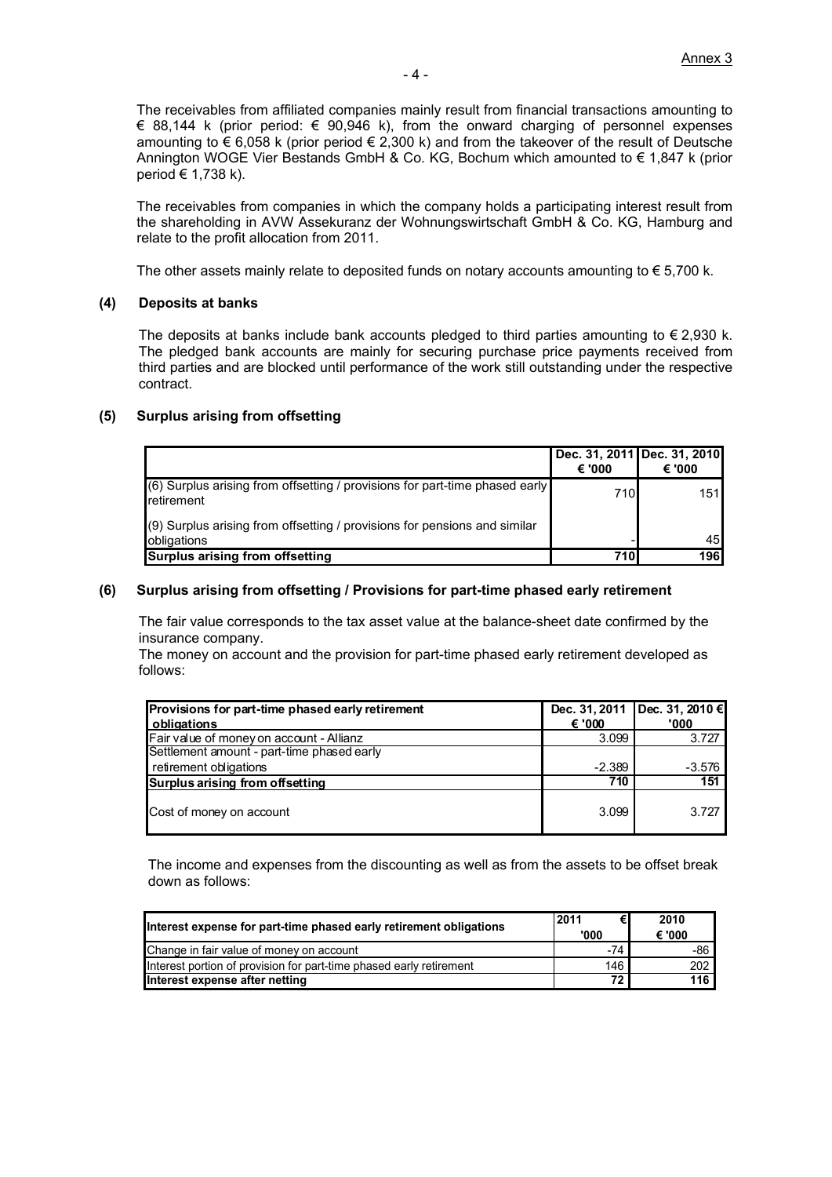The receivables from affiliated companies mainly result from financial transactions amounting to € 88,144 k (prior period:  $∈$  90,946 k), from the onward charging of personnel expenses amounting to  $\epsilon$  6,058 k (prior period  $\epsilon$  2,300 k) and from the takeover of the result of Deutsche Annington WOGE Vier Bestands GmbH & Co. KG, Bochum which amounted to € 1,847 k (prior period € 1,738 k).

The receivables from companies in which the company holds a participating interest result from the shareholding in AVW Assekuranz der Wohnungswirtschaft GmbH & Co. KG, Hamburg and relate to the profit allocation from 2011.

The other assets mainly relate to deposited funds on notary accounts amounting to  $\epsilon$  5,700 k.

#### **(4) Deposits at banks**

The deposits at banks include bank accounts pledged to third parties amounting to  $\epsilon$  2,930 k. The pledged bank accounts are mainly for securing purchase price payments received from third parties and are blocked until performance of the work still outstanding under the respective contract.

#### **(5) Surplus arising from offsetting**

|                                                                                                      |        | Dec. 31, 2011 Dec. 31, 2010 |
|------------------------------------------------------------------------------------------------------|--------|-----------------------------|
|                                                                                                      | € '000 | € '000                      |
| $(6)$ Surplus arising from offsetting / provisions for part-time phased early<br><b>I</b> retirement | 710    | 151                         |
| $(9)$ Surplus arising from offsetting / provisions for pensions and similar<br>obligations           |        | 45                          |
| Surplus arising from offsetting                                                                      | 710l   | <b>196</b>                  |

#### **(6) Surplus arising from offsetting / Provisions for part-time phased early retirement**

 The fair value corresponds to the tax asset value at the balance-sheet date confirmed by the insurance company.

 The money on account and the provision for part-time phased early retirement developed as follows:

| Provisions for part-time phased early retirement |          | Dec. 31, 2011 Dec. 31, 2010 € |
|--------------------------------------------------|----------|-------------------------------|
| obligations                                      | € '000   | '000                          |
| Fair value of money on account - Allianz         | 3.099    | 3.727                         |
| Settlement amount - part-time phased early       |          |                               |
| retirement obligations                           | $-2.389$ | -3.576                        |
| Surplus arising from offsetting                  | 710      | 151                           |
| Cost of money on account                         | 3.099    | 3.727                         |

The income and expenses from the discounting as well as from the assets to be offset break down as follows:

| Interest expense for part-time phased early retirement obligations  | 2011<br>'000 | 2010<br>€ '000 |
|---------------------------------------------------------------------|--------------|----------------|
| Change in fair value of money on account                            | $-74$        | -86            |
| Interest portion of provision for part-time phased early retirement | 146          | 202            |
| Interest expense after netting                                      | 72           | 116            |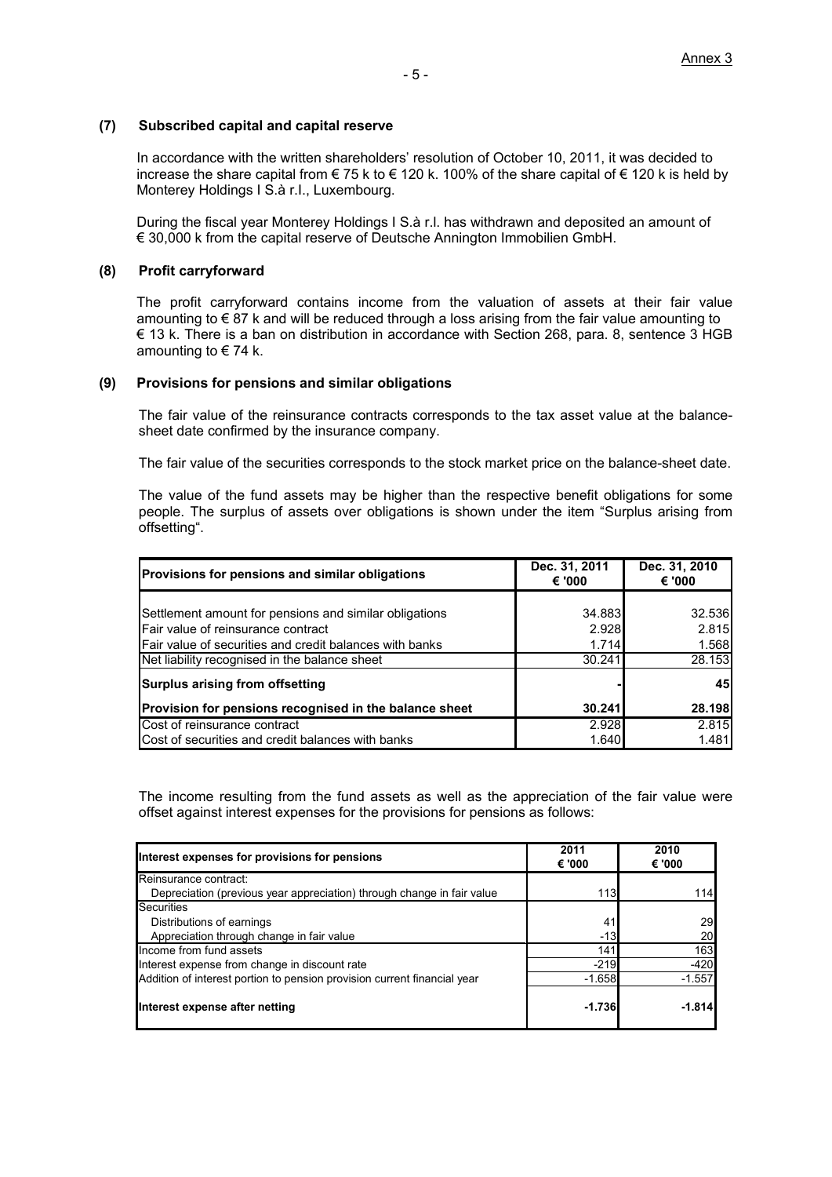#### **(7) Subscribed capital and capital reserve**

In accordance with the written shareholders' resolution of October 10, 2011, it was decided to increase the share capital from € 75 k to € 120 k. 100% of the share capital of € 120 k is held by Monterey Holdings I S.à r.I., Luxembourg.

During the fiscal year Monterey Holdings I S.à r.l. has withdrawn and deposited an amount of € 30,000 k from the capital reserve of Deutsche Annington Immobilien GmbH.

#### **(8) Profit carryforward**

The profit carryforward contains income from the valuation of assets at their fair value amounting to  $\epsilon$  87 k and will be reduced through a loss arising from the fair value amounting to € 13 k. There is a ban on distribution in accordance with Section 268, para. 8, sentence 3 HGB amounting to  $\in$  74 k.

#### **(9) Provisions for pensions and similar obligations**

The fair value of the reinsurance contracts corresponds to the tax asset value at the balancesheet date confirmed by the insurance company.

The fair value of the securities corresponds to the stock market price on the balance-sheet date.

The value of the fund assets may be higher than the respective benefit obligations for some people. The surplus of assets over obligations is shown under the item "Surplus arising from offsetting".

| <b>Provisions for pensions and similar obligations</b>  | Dec. 31, 2011<br>€ '000 | Dec. 31, 2010<br>€ '000' |
|---------------------------------------------------------|-------------------------|--------------------------|
|                                                         |                         |                          |
| Settlement amount for pensions and similar obligations  | 34.883                  | 32.536                   |
| Fair value of reinsurance contract                      | 2.928                   | 2.815                    |
| Fair value of securities and credit balances with banks | 1.714                   | 1.568                    |
| Net liability recognised in the balance sheet           | 30.241                  | 28.153                   |
| Surplus arising from offsetting                         |                         | 45                       |
| Provision for pensions recognised in the balance sheet  | 30.241                  | 28.198                   |
| Cost of reinsurance contract                            | 2.928                   | 2.815                    |
| Cost of securities and credit balances with banks       | 1.640                   | 1.481                    |

The income resulting from the fund assets as well as the appreciation of the fair value were offset against interest expenses for the provisions for pensions as follows:

| Interest expenses for provisions for pensions                            | 2011<br>€ '000 | 2010<br>€ '000 |
|--------------------------------------------------------------------------|----------------|----------------|
| Reinsurance contract:                                                    |                |                |
| Depreciation (previous year appreciation) through change in fair value   | 113            | 114            |
| Securities                                                               |                |                |
| Distributions of earnings                                                | 41             | 29             |
| Appreciation through change in fair value                                | $-13$          | 20             |
| Income from fund assets                                                  | 141            | 163            |
| Interest expense from change in discount rate                            | $-219$         | $-420$         |
| Addition of interest portion to pension provision current financial year | $-1.658$       | $-1.557$       |
| Interest expense after netting                                           | $-1.736$       | $-1.814$       |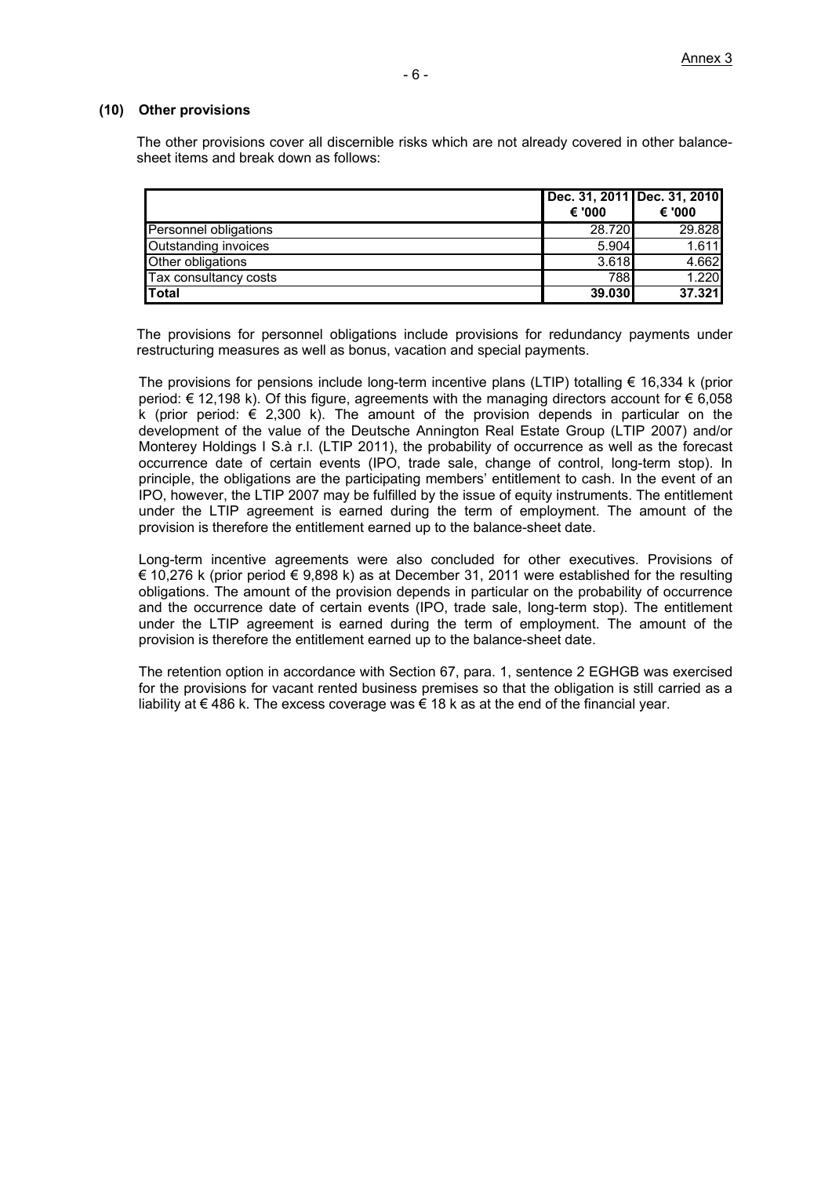#### **(10) Other provisions**

The other provisions cover all discernible risks which are not already covered in other balancesheet items and break down as follows:

|                       |        | Dec. 31, 2011 Dec. 31, 2010 |
|-----------------------|--------|-----------------------------|
|                       | € '000 | € '000                      |
| Personnel obligations | 28.720 | 29.828                      |
| Outstanding invoices  | 5.904  | 1.611                       |
| Other obligations     | 3.618  | 4.662                       |
| Tax consultancy costs | 788    | 1.220                       |
| Total                 | 39.030 | 37.321                      |

The provisions for personnel obligations include provisions for redundancy payments under restructuring measures as well as bonus, vacation and special payments.

The provisions for pensions include long-term incentive plans (LTIP) totalling  $\epsilon$  16,334 k (prior period:  $€ 12,198$  k). Of this figure, agreements with the managing directors account for  $€ 6,058$ k (prior period:  $\epsilon$  2,300 k). The amount of the provision depends in particular on the development of the value of the Deutsche Annington Real Estate Group (LTIP 2007) and/or Monterey Holdings I S.à r.l. (LTIP 2011), the probability of occurrence as well as the forecast occurrence date of certain events (IPO, trade sale, change of control, long-term stop). In principle, the obligations are the participating members' entitlement to cash. In the event of an IPO, however, the LTIP 2007 may be fulfilled by the issue of equity instruments. The entitlement under the LTIP agreement is earned during the term of employment. The amount of the provision is therefore the entitlement earned up to the balance-sheet date.

Long-term incentive agreements were also concluded for other executives. Provisions of € 10,276 k (prior period € 9,898 k) as at December 31, 2011 were established for the resulting obligations. The amount of the provision depends in particular on the probability of occurrence and the occurrence date of certain events (IPO, trade sale, long-term stop). The entitlement under the LTIP agreement is earned during the term of employment. The amount of the provision is therefore the entitlement earned up to the balance-sheet date.

The retention option in accordance with Section 67, para. 1, sentence 2 EGHGB was exercised for the provisions for vacant rented business premises so that the obligation is still carried as a liability at  $\epsilon$  486 k. The excess coverage was  $\epsilon$  18 k as at the end of the financial year.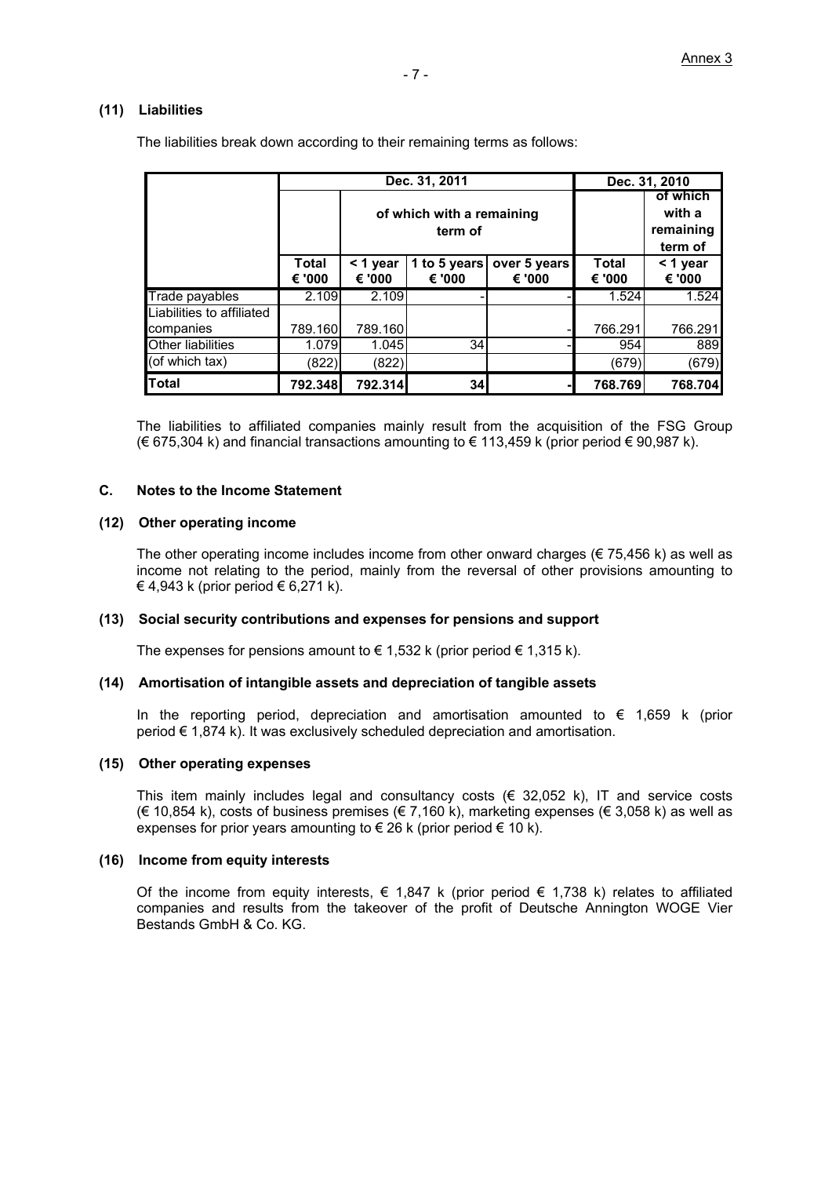#### **(11) Liabilities**

|                | Dec. 31, 2011   |                    |                                      |                        | Dec. 31, 2010   |                                            |
|----------------|-----------------|--------------------|--------------------------------------|------------------------|-----------------|--------------------------------------------|
|                |                 |                    | of which with a remaining<br>term of |                        |                 | of which<br>with a<br>remaining<br>term of |
|                | Total<br>€ '000 | < 1 year<br>€ '000 | 1 to 5 years<br>€ '000               | over 5 years<br>€ '000 | Total<br>€ '000 | $<$ 1 year<br>€ '000                       |
| Trade payables | 2.109           | 2.109              |                                      |                        | 1.524           | 1.524                                      |

The liabilities break down according to their remaining terms as follows:

The liabilities to affiliated companies mainly result from the acquisition of the FSG Group  $(€ 675,304 k)$  and financial transactions amounting to  $€ 113,459 k$  (prior period  $€ 90,987 k$ ).

companies 789.160 789.160 - 766.291 766.291 Other liabilities ( 1.079 1.045 34 - 954 889 (of which tax) (822) (822) (679) (679) **Total 792.348 792.314 34 - 768.769 768.704**

#### **C. Notes to the Income Statement**

Liabilities to affiliated

#### **(12) Other operating income**

The other operating income includes income from other onward charges ( $\epsilon$  75,456 k) as well as income not relating to the period, mainly from the reversal of other provisions amounting to € 4,943 k (prior period € 6,271 k).

#### **(13) Social security contributions and expenses for pensions and support**

The expenses for pensions amount to  $\epsilon$  1,532 k (prior period  $\epsilon$  1,315 k).

#### **(14) Amortisation of intangible assets and depreciation of tangible assets**

In the reporting period, depreciation and amortisation amounted to  $\epsilon$  1,659 k (prior period € 1,874 k). It was exclusively scheduled depreciation and amortisation.

#### **(15) Other operating expenses**

This item mainly includes legal and consultancy costs  $(\epsilon \ 32.052 \ k)$ , IT and service costs (€ 10,854 k), costs of business premises (€ 7,160 k), marketing expenses (€ 3,058 k) as well as expenses for prior years amounting to  $\epsilon$  26 k (prior period  $\epsilon$  10 k).

#### **(16) Income from equity interests**

Of the income from equity interests,  $\in 1,847$  k (prior period  $\in 1,738$  k) relates to affiliated companies and results from the takeover of the profit of Deutsche Annington WOGE Vier Bestands GmbH & Co. KG.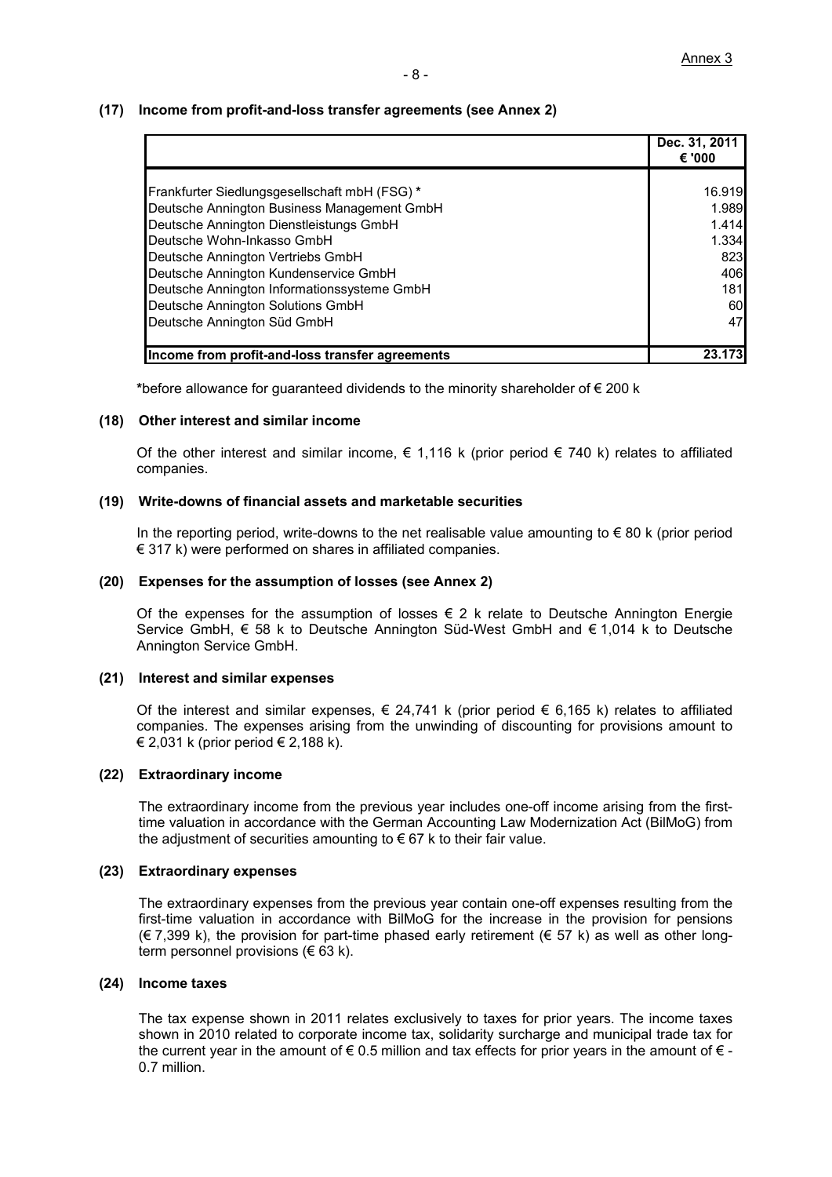#### **(17) Income from profit-and-loss transfer agreements (see Annex 2)**

|                                                 | Dec. 31, 2011<br>€ '000 |
|-------------------------------------------------|-------------------------|
|                                                 |                         |
| Frankfurter Siedlungsgesellschaft mbH (FSG) *   | 16.919                  |
| Deutsche Annington Business Management GmbH     | 1.989                   |
| Deutsche Annington Dienstleistungs GmbH         | 1.414                   |
| Deutsche Wohn-Inkasso GmbH                      | 1.334                   |
| Deutsche Annington Vertriebs GmbH               | 823                     |
| Deutsche Annington Kundenservice GmbH           | 406                     |
| Deutsche Annington Informationssysteme GmbH     | 181                     |
| Deutsche Annington Solutions GmbH               | 60                      |
| Deutsche Annington Süd GmbH                     | 47                      |
|                                                 |                         |
| Income from profit-and-loss transfer agreements | 23.                     |

**\***before allowance for guaranteed dividends to the minority shareholder of € 200 k

#### **(18) Other interest and similar income**

Of the other interest and similar income,  $\epsilon$  1,116 k (prior period  $\epsilon$  740 k) relates to affiliated companies.

#### **(19) Write-downs of financial assets and marketable securities**

In the reporting period, write-downs to the net realisable value amounting to  $\epsilon$  80 k (prior period € 317 k) were performed on shares in affiliated companies.

#### **(20) Expenses for the assumption of losses (see Annex 2)**

Of the expenses for the assumption of losses  $\epsilon$  2 k relate to Deutsche Annington Energie Service GmbH, € 58 k to Deutsche Annington Süd-West GmbH and € 1,014 k to Deutsche Annington Service GmbH.

#### **(21) Interest and similar expenses**

Of the interest and similar expenses,  $\in$  24,741 k (prior period  $\in$  6,165 k) relates to affiliated companies. The expenses arising from the unwinding of discounting for provisions amount to  $\in$  2,031 k (prior period  $\in$  2,188 k).

#### **(22) Extraordinary income**

The extraordinary income from the previous year includes one-off income arising from the firsttime valuation in accordance with the German Accounting Law Modernization Act (BilMoG) from the adjustment of securities amounting to  $\epsilon$  67 k to their fair value.

#### **(23) Extraordinary expenses**

The extraordinary expenses from the previous year contain one-off expenses resulting from the first-time valuation in accordance with BilMoG for the increase in the provision for pensions  $(€ 7,399 k)$ , the provision for part-time phased early retirement  $(€ 57 k)$  as well as other longterm personnel provisions ( $\in$  63 k).

#### **(24) Income taxes**

The tax expense shown in 2011 relates exclusively to taxes for prior years. The income taxes shown in 2010 related to corporate income tax, solidarity surcharge and municipal trade tax for the current year in the amount of  $\epsilon$  0.5 million and tax effects for prior years in the amount of  $\epsilon$ . 0.7 million.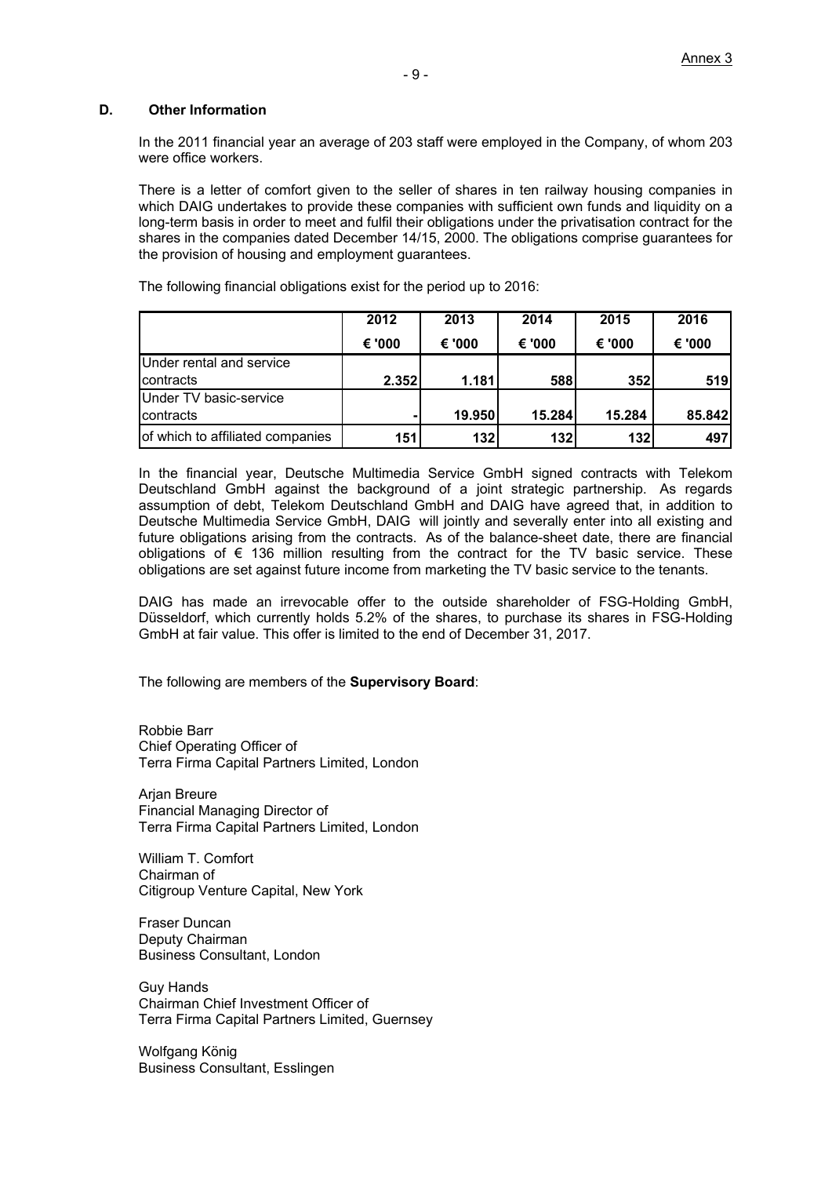#### **D. Other Information**

In the 2011 financial year an average of 203 staff were employed in the Company, of whom 203 were office workers.

There is a letter of comfort given to the seller of shares in ten railway housing companies in which DAIG undertakes to provide these companies with sufficient own funds and liquidity on a long-term basis in order to meet and fulfil their obligations under the privatisation contract for the shares in the companies dated December 14/15, 2000. The obligations comprise guarantees for the provision of housing and employment guarantees.

The following financial obligations exist for the period up to 2016:

|                                  | 2012   | 2013   | 2014   | 2015   | 2016   |
|----------------------------------|--------|--------|--------|--------|--------|
|                                  | € '000 | € '000 | € '000 | € '000 | € '000 |
| Under rental and service         |        |        |        |        |        |
| <b>I</b> contracts               | 2.352  | 1.181  | 588    | 352    | 519    |
| Under TV basic-service           |        |        |        |        |        |
| contracts                        |        | 19.950 | 15.284 | 15.284 | 85.842 |
| of which to affiliated companies | 151    | 132    | 132    | 132    | 497    |

In the financial year, Deutsche Multimedia Service GmbH signed contracts with Telekom Deutschland GmbH against the background of a joint strategic partnership. As regards assumption of debt, Telekom Deutschland GmbH and DAIG have agreed that, in addition to Deutsche Multimedia Service GmbH, DAIG will jointly and severally enter into all existing and future obligations arising from the contracts. As of the balance-sheet date, there are financial obligations of  $\epsilon$  136 million resulting from the contract for the TV basic service. These obligations are set against future income from marketing the TV basic service to the tenants.

DAIG has made an irrevocable offer to the outside shareholder of FSG-Holding GmbH, Düsseldorf, which currently holds 5.2% of the shares, to purchase its shares in FSG-Holding GmbH at fair value. This offer is limited to the end of December 31, 2017.

The following are members of the **Supervisory Board**:

Robbie Barr Chief Operating Officer of Terra Firma Capital Partners Limited, London

Arjan Breure Financial Managing Director of Terra Firma Capital Partners Limited, London

William T. Comfort Chairman of Citigroup Venture Capital, New York

Fraser Duncan Deputy Chairman Business Consultant, London

Guy Hands Chairman Chief Investment Officer of Terra Firma Capital Partners Limited, Guernsey

Wolfgang König Business Consultant, Esslingen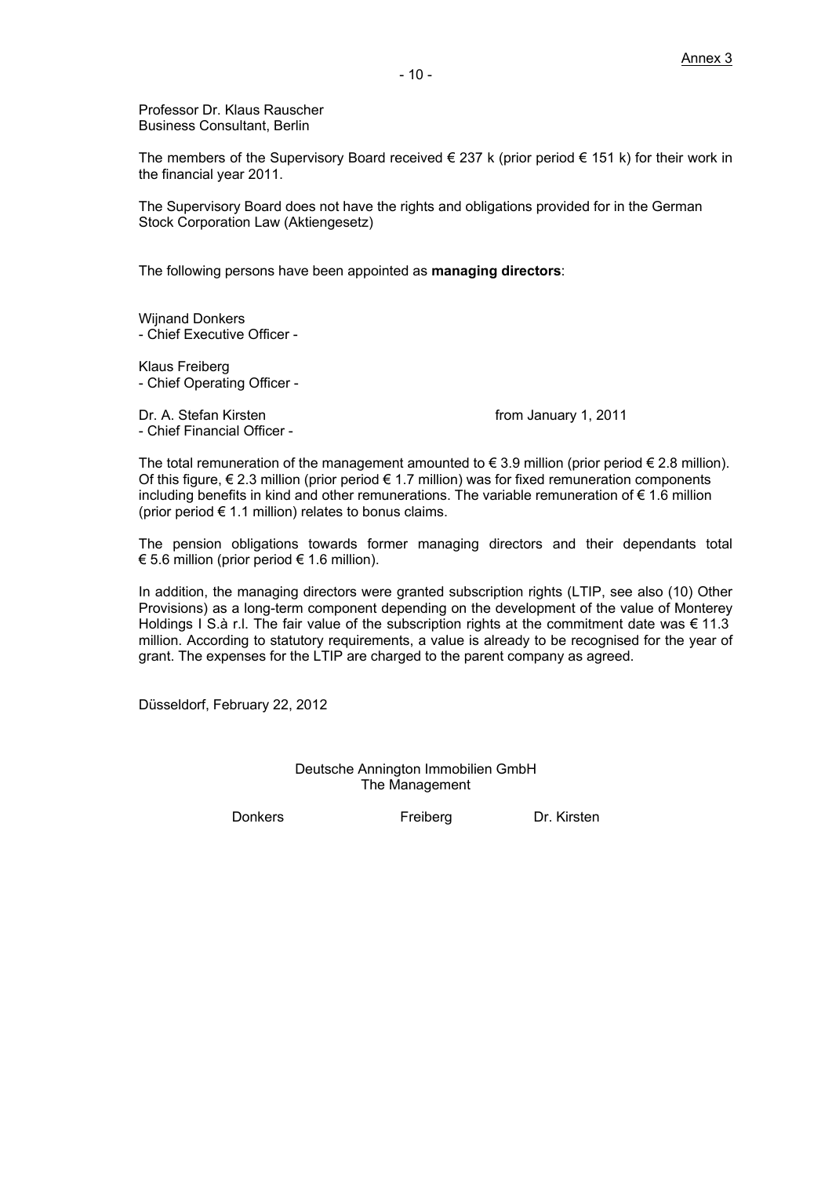Professor Dr. Klaus Rauscher Business Consultant, Berlin

The members of the Supervisory Board received  $\in$  237 k (prior period  $\in$  151 k) for their work in the financial year 2011.

The Supervisory Board does not have the rights and obligations provided for in the German Stock Corporation Law (Aktiengesetz)

The following persons have been appointed as **managing directors**:

Wiinand Donkers - Chief Executive Officer -

Klaus Freiberg - Chief Operating Officer -

Dr. A. Stefan Kirsten **from January 1, 2011** - Chief Financial Officer -

The total remuneration of the management amounted to  $\epsilon$  3.9 million (prior period  $\epsilon$  2.8 million). Of this figure,  $\epsilon$  2.3 million (prior period  $\epsilon$  1.7 million) was for fixed remuneration components including benefits in kind and other remunerations. The variable remuneration of  $\epsilon$  1.6 million (prior period  $\epsilon$  1.1 million) relates to bonus claims.

The pension obligations towards former managing directors and their dependants total € 5.6 million (prior period  $€ 1.6$  million).

In addition, the managing directors were granted subscription rights (LTIP, see also (10) Other Provisions) as a long-term component depending on the development of the value of Monterey Holdings I S.à r.l. The fair value of the subscription rights at the commitment date was  $\epsilon$  11.3 million. According to statutory requirements, a value is already to be recognised for the year of grant. The expenses for the LTIP are charged to the parent company as agreed.

Düsseldorf, February 22, 2012

Deutsche Annington Immobilien GmbH The Management

Donkers Freiberg Dr. Kirsten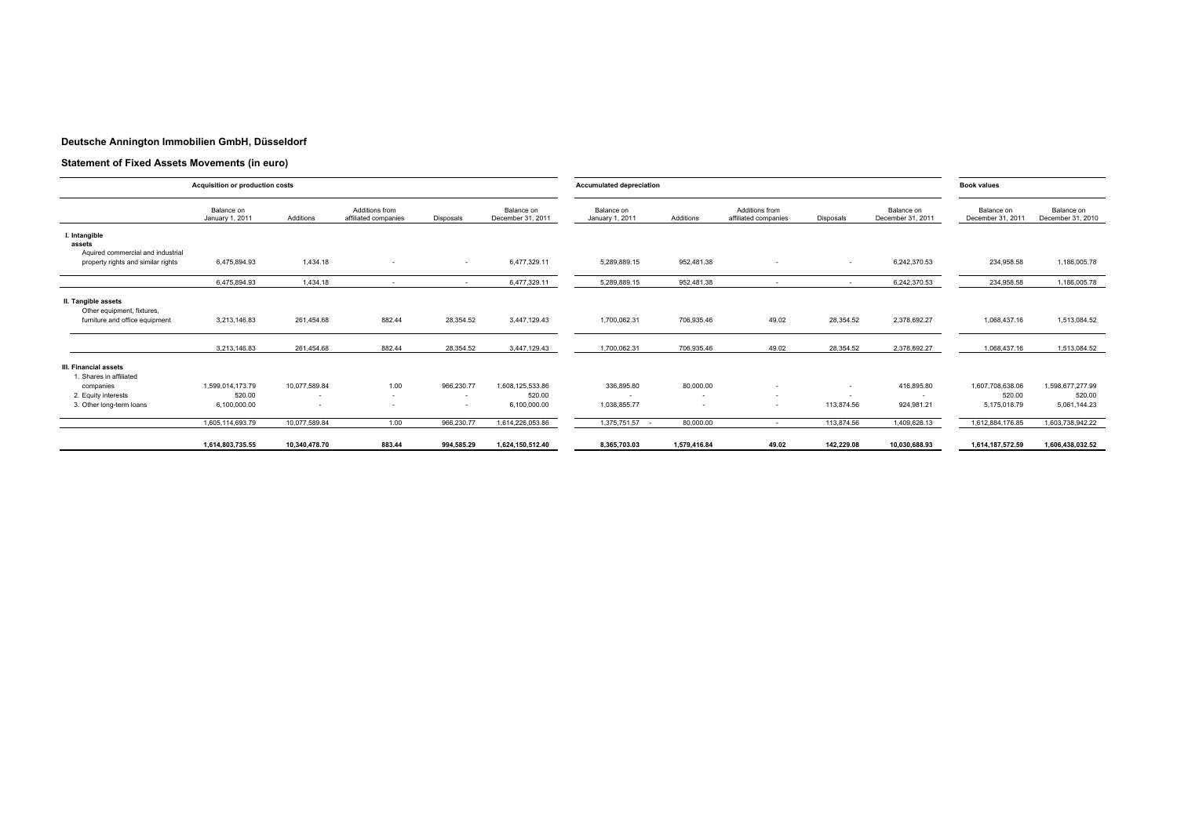#### **Deutsche Annington Immobilien GmbH, Düsseldorf**

#### **Statement of Fixed Assets Movements (in euro)**

|                                                              | Acquisition or production costs |                          |                                        |                          |                                 | <b>Accumulated depreciation</b> |              |                                        |            |                                 | <b>Book values</b>              |                                 |
|--------------------------------------------------------------|---------------------------------|--------------------------|----------------------------------------|--------------------------|---------------------------------|---------------------------------|--------------|----------------------------------------|------------|---------------------------------|---------------------------------|---------------------------------|
|                                                              | Balance on<br>January 1, 2011   | Additions                | Additions from<br>affiliated companies | Disposals                | Balance on<br>December 31, 2011 | Balance on<br>January 1, 2011   | Additions    | Additions from<br>affiliated companies | Disposals  | Balance on<br>December 31, 2011 | Balance on<br>December 31, 2011 | Balance on<br>December 31, 2010 |
| I. Intangible<br>assets<br>Aquired commercial and industrial |                                 |                          |                                        |                          |                                 |                                 |              |                                        |            |                                 |                                 |                                 |
| property rights and similar rights                           | 6,475,894.93                    | 1,434.18                 | $\overline{\phantom{a}}$               | $\sim$                   | 6,477,329.11                    | 5,289,889.15                    | 952,481.38   |                                        | $\sim$     | 6,242,370.53                    | 234,958.58                      | 1,186,005.78                    |
|                                                              | 6.475.894.93                    | 1.434.18                 |                                        | $\overline{\phantom{a}}$ | 6,477,329.11                    | 5,289,889.15                    | 952.481.38   |                                        | $\sim$     | 6,242,370.53                    | 234,958.58                      | 1,186,005.78                    |
| II. Tangible assets<br>Other equipment, fixtures,            |                                 |                          |                                        |                          |                                 |                                 |              |                                        |            |                                 |                                 |                                 |
| furniture and office equipment                               | 3,213,146.83                    | 261,454.68               | 882.44                                 | 28,354.52                | 3,447,129.43                    | 1,700,062.31                    | 706,935.46   | 49.02                                  | 28,354.52  | 2,378,692.27                    | 1,068,437.16                    | 1,513,084.52                    |
|                                                              | 3.213.146.83                    | 261.454.68               | 882.44                                 | 28,354.52                | 3,447,129.43                    | 1,700,062.31                    | 706,935.46   | 49.02                                  | 28,354.52  | 2,378,692.27                    | 1,068,437.16                    | 1,513,084.52                    |
| III. Financial assets<br>1. Shares in affiliated             |                                 |                          |                                        |                          |                                 |                                 |              |                                        |            |                                 |                                 |                                 |
| companies                                                    | 1.599.014.173.79                | 10,077,589.84            | 1.00                                   | 966,230.77               | 1,608,125,533.86                | 336,895.80                      | 80,000.00    | $\sim$                                 | $\sim$     | 416,895.80                      | 1,607,708,638.06                | 1,598,677,277.99                |
| 2. Equity interests                                          | 520.00                          | $\overline{\phantom{a}}$ | ٠                                      | $\overline{\phantom{a}}$ | 520.00                          |                                 | $\sim$       | $\sim$                                 | $\sim$     |                                 | 520.00                          | 520.00                          |
| 3. Other long-term loans                                     | 6,100,000.00                    |                          |                                        | $\overline{\phantom{a}}$ | 6,100,000.00                    | 1,038,855.77                    |              | $\sim$                                 | 113,874.56 | 924,981.21                      | 5,175,018.79                    | 5,061,144.23                    |
|                                                              | 1,605,114,693.79                | 10,077,589.84            | 1.00                                   | 966,230.77               | 1,614,226,053.86                | 1,375,751.57                    | 80,000.00    | $\sim$                                 | 113,874.56 | 1,409,626.13                    | 1,612,884,176.85                | 1,603,738,942.22                |
|                                                              | 1.614.803.735.55                | 10.340.478.70            | 883.44                                 | 994.585.29               | 1,624,150,512.40                | 8.365.703.03                    | 1.579.416.84 | 49.02                                  | 142.229.08 | 10.030.688.93                   | 1.614.187.572.59                | 1.606.438.032.52                |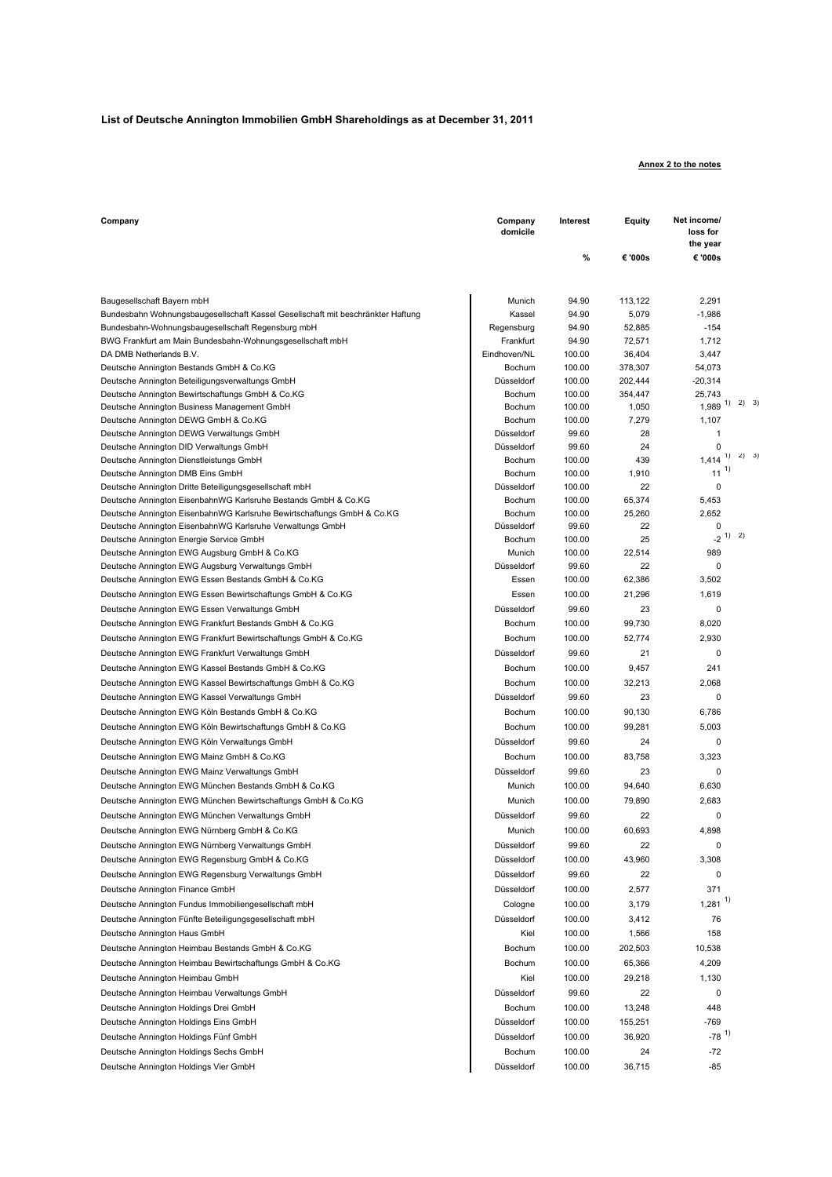#### **List of Deutsche Annington Immobilien GmbH Shareholdings as at December 31, 2011**

#### **Annex 2 to the notes**

| Company                                                                                                | Company<br>domicile  | Interest        | Equity       | Net income/<br>loss for<br>the year |
|--------------------------------------------------------------------------------------------------------|----------------------|-----------------|--------------|-------------------------------------|
|                                                                                                        |                      | %               | € '000s      | € '000s                             |
| Baugesellschaft Bayern mbH                                                                             | Munich               | 94.90           | 113,122      | 2,291                               |
| Bundesbahn Wohnungsbaugesellschaft Kassel Gesellschaft mit beschränkter Haftung                        | Kassel               | 94.90           | 5,079        | $-1,986$                            |
| Bundesbahn-Wohnungsbaugesellschaft Regensburg mbH                                                      | Regensburg           | 94.90           | 52,885       | $-154$                              |
| BWG Frankfurt am Main Bundesbahn-Wohnungsgesellschaft mbH                                              | Frankfurt            | 94.90           | 72,571       | 1,712                               |
| DA DMB Netherlands B.V.                                                                                | Eindhoven/NL         | 100.00          | 36,404       | 3,447                               |
| Deutsche Annington Bestands GmbH & Co.KG                                                               | Bochum               | 100.00          | 378,307      | 54,073                              |
| Deutsche Annington Beteiligungsverwaltungs GmbH                                                        | Düsseldorf           | 100.00          | 202,444      | $-20,314$                           |
| Deutsche Annington Bewirtschaftungs GmbH & Co.KG                                                       | Bochum               | 100.00          | 354,447      | 25,743                              |
| Deutsche Annington Business Management GmbH                                                            | Bochum               | 100.00          | 1,050        | $1,989$ <sup>1)</sup> 2) 3)         |
| Deutsche Annington DEWG GmbH & Co.KG                                                                   | Bochum               | 100.00          | 7,279        | 1,107                               |
| Deutsche Annington DEWG Verwaltungs GmbH                                                               | Düsseldorf           | 99.60           | 28           | 1                                   |
| Deutsche Annington DID Verwaltungs GmbH                                                                | Düsseldorf           | 99.60           | 24           | 0                                   |
| Deutsche Annington Dienstleistungs GmbH                                                                | Bochum               | 100.00          | 439          | 2) 3<br>1)<br>1,414                 |
| Deutsche Annington DMB Eins GmbH                                                                       | Bochum               | 100.00          | 1,910        | -1)<br>11                           |
| Deutsche Annington Dritte Beteiligungsgesellschaft mbH                                                 | Düsseldorf           | 100.00          | 22           | 0                                   |
| Deutsche Annington EisenbahnWG Karlsruhe Bestands GmbH & Co.KG                                         | Bochum               | 100.00          | 65,374       | 5,453                               |
| Deutsche Annington EisenbahnWG Karlsruhe Bewirtschaftungs GmbH & Co.KG                                 | Bochum               | 100.00          | 25,260       | 2,652                               |
| Deutsche Annington EisenbahnWG Karlsruhe Verwaltungs GmbH                                              | Düsseldorf           | 99.60           | 22           | 0<br>$-2^{1}$ 2)                    |
| Deutsche Annington Energie Service GmbH                                                                | Bochum               | 100.00          | 25<br>22,514 |                                     |
| Deutsche Annington EWG Augsburg GmbH & Co.KG                                                           | Munich<br>Düsseldorf | 100.00<br>99.60 | 22           | 989<br>0                            |
| Deutsche Annington EWG Augsburg Verwaltungs GmbH<br>Deutsche Annington EWG Essen Bestands GmbH & Co.KG | Essen                | 100.00          | 62,386       | 3,502                               |
| Deutsche Annington EWG Essen Bewirtschaftungs GmbH & Co.KG                                             | Essen                | 100.00          | 21,296       | 1,619                               |
|                                                                                                        | Düsseldorf           |                 | 23           | 0                                   |
| Deutsche Annington EWG Essen Verwaltungs GmbH                                                          |                      | 99.60           |              |                                     |
| Deutsche Annington EWG Frankfurt Bestands GmbH & Co.KG                                                 | Bochum               | 100.00          | 99,730       | 8,020                               |
| Deutsche Annington EWG Frankfurt Bewirtschaftungs GmbH & Co.KG                                         | Bochum               | 100.00          | 52,774       | 2,930                               |
| Deutsche Annington EWG Frankfurt Verwaltungs GmbH                                                      | Düsseldorf           | 99.60           | 21           | 0                                   |
| Deutsche Annington EWG Kassel Bestands GmbH & Co.KG                                                    | Bochum               | 100.00          | 9,457        | 241                                 |
| Deutsche Annington EWG Kassel Bewirtschaftungs GmbH & Co.KG                                            | Bochum               | 100.00          | 32,213       | 2,068                               |
| Deutsche Annington EWG Kassel Verwaltungs GmbH                                                         | Düsseldorf           | 99.60           | 23           | 0                                   |
| Deutsche Annington EWG Köln Bestands GmbH & Co.KG                                                      | Bochum               | 100.00          | 90,130       | 6,786                               |
| Deutsche Annington EWG Köln Bewirtschaftungs GmbH & Co.KG                                              | Bochum               | 100.00          | 99,281       | 5,003                               |
| Deutsche Annington EWG Köln Verwaltungs GmbH                                                           | Düsseldorf           | 99.60           | 24           | 0                                   |
| Deutsche Annington EWG Mainz GmbH & Co.KG                                                              | Bochum               | 100.00          | 83,758       | 3,323                               |
| Deutsche Annington EWG Mainz Verwaltungs GmbH                                                          | Düsseldorf           | 99.60           | 23           | 0                                   |
| Deutsche Annington EWG München Bestands GmbH & Co.KG                                                   | Munich               | 100.00          | 94,640       | 6,630                               |
| Deutsche Annington EWG München Bewirtschaftungs GmbH & Co.KG                                           | Munich               | 100.00          | 79,890       | 2,683                               |
| Deutsche Annington EWG München Verwaltungs GmbH                                                        | Düsseldorf           | 99.60           | 22           | 0                                   |
| Deutsche Annington EWG Nürnberg GmbH & Co.KG                                                           | Munich               | 100.00          | 60,693       | 4,898                               |
| Deutsche Annington EWG Nürnberg Verwaltungs GmbH                                                       | Düsseldorf           | 99.60           | 22           | 0                                   |
| Deutsche Annington EWG Regensburg GmbH & Co.KG                                                         | Düsseldorf           | 100.00          | 43,960       | 3,308                               |
| Deutsche Annington EWG Regensburg Verwaltungs GmbH                                                     | Düsseldorf           | 99.60           | 22           | 0                                   |
| Deutsche Annington Finance GmbH                                                                        | Düsseldorf           | 100.00          | 2,577        | 371                                 |
| Deutsche Annington Fundus Immobiliengesellschaft mbH                                                   | Cologne              | 100.00          | 3,179        | $1,281$ <sup>1)</sup>               |
| Deutsche Annington Fünfte Beteiligungsgesellschaft mbH                                                 | Düsseldorf           | 100.00          | 3,412        | 76                                  |
|                                                                                                        | Kiel                 | 100.00          | 1,566        | 158                                 |
| Deutsche Annington Haus GmbH                                                                           |                      |                 |              |                                     |
| Deutsche Annington Heimbau Bestands GmbH & Co.KG                                                       | Bochum               | 100.00          | 202,503      | 10,538                              |
| Deutsche Annington Heimbau Bewirtschaftungs GmbH & Co.KG                                               | Bochum               | 100.00          | 65,366       | 4,209                               |
| Deutsche Annington Heimbau GmbH                                                                        | Kiel                 | 100.00          | 29,218       | 1,130                               |
| Deutsche Annington Heimbau Verwaltungs GmbH                                                            | Düsseldorf           | 99.60           | 22           | 0                                   |
| Deutsche Annington Holdings Drei GmbH                                                                  | Bochum               | 100.00          | 13,248       | 448                                 |
| Deutsche Annington Holdings Eins GmbH                                                                  | Düsseldorf           | 100.00          | 155,251      | $-769$                              |
| Deutsche Annington Holdings Fünf GmbH                                                                  | Düsseldorf           | 100.00          | 36,920       | $-78$ <sup>1)</sup>                 |
| Deutsche Annington Holdings Sechs GmbH                                                                 | Bochum               | 100.00          | 24           | $-72$                               |
| Deutsche Annington Holdings Vier GmbH                                                                  | Düsseldorf           | 100.00          | 36,715       | $-85$                               |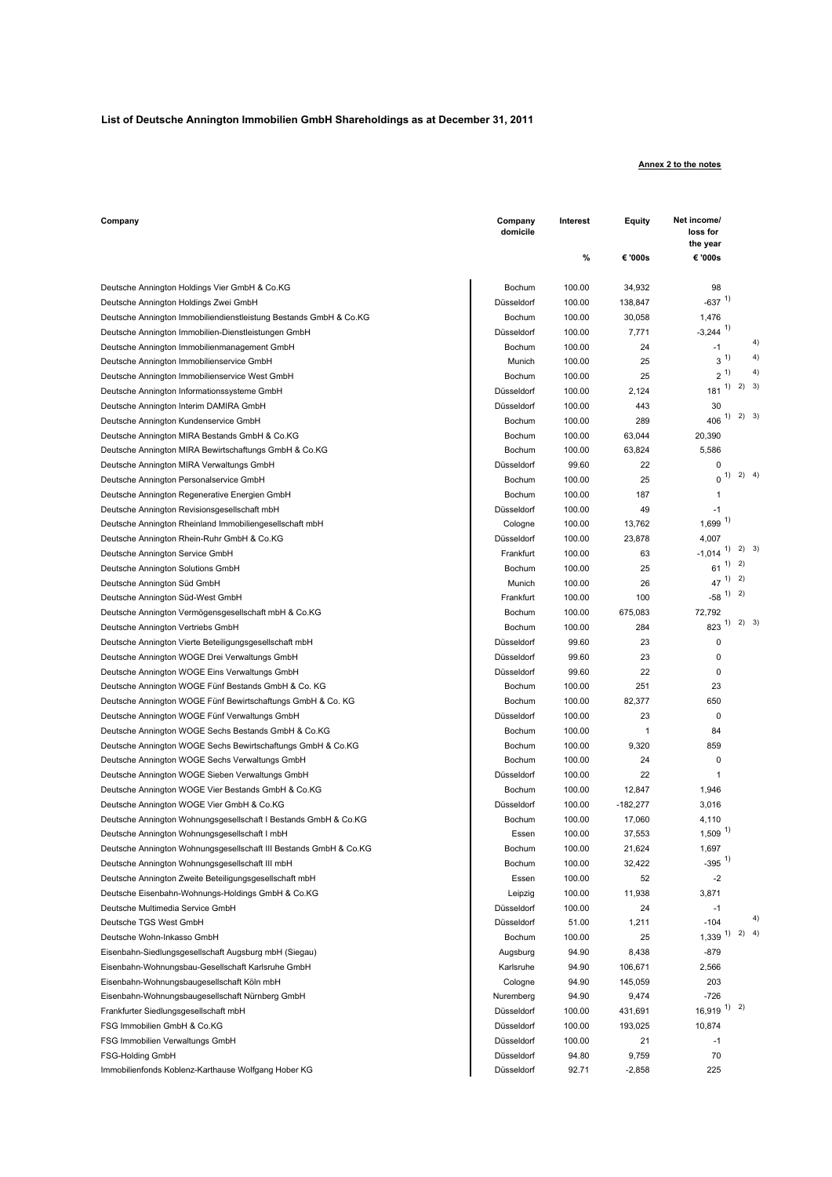#### **List of Deutsche Annington Immobilien GmbH Shareholdings as at December 31, 2011**

#### **Annex 2 to the notes**

| Company                                                           | Company<br>domicile | Interest | Equity     | Net income/<br>loss for<br>the year |
|-------------------------------------------------------------------|---------------------|----------|------------|-------------------------------------|
|                                                                   |                     | %        | € '000s    | € '000s                             |
| Deutsche Annington Holdings Vier GmbH & Co.KG                     | Bochum              | 100.00   | 34,932     | 98                                  |
| Deutsche Annington Holdings Zwei GmbH                             | Düsseldorf          | 100.00   | 138,847    | $-637$ <sup>1)</sup>                |
| Deutsche Annington Immobiliendienstleistung Bestands GmbH & Co.KG | Bochum              | 100.00   | 30,058     | 1,476                               |
| Deutsche Annington Immobilien-Dienstleistungen GmbH               | Düsseldorf          | 100.00   | 7,771      | $-3,244$ <sup>1)</sup>              |
| Deutsche Annington Immobilienmanagement GmbH                      | Bochum              | 100.00   | 24         | $-1$                                |
| Deutsche Annington Immobilienservice GmbH                         | Munich              | 100.00   | 25         | 4<br>$3^{1}$                        |
| Deutsche Annington Immobilienservice West GmbH                    | Bochum              | 100.00   | 25         | 4<br>$2\,$ $^{\prime\prime}$        |
| Deutsche Annington Informationssysteme GmbH                       | Düsseldorf          | 100.00   | 2,124      | $1)$ 2) 3<br>181                    |
| Deutsche Annington Interim DAMIRA GmbH                            | Düsseldorf          | 100.00   | 443        | 30                                  |
| Deutsche Annington Kundenservice GmbH                             | Bochum              | 100.00   | 289        | $1)$ 2) 3<br>406                    |
| Deutsche Annington MIRA Bestands GmbH & Co.KG                     | Bochum              | 100.00   | 63,044     | 20,390                              |
| Deutsche Annington MIRA Bewirtschaftungs GmbH & Co.KG             | Bochum              | 100.00   | 63,824     | 5,586                               |
| Deutsche Annington MIRA Verwaltungs GmbH                          | Düsseldorf          | 99.60    | 22         | 0                                   |
| Deutsche Annington Personalservice GmbH                           | Bochum              | 100.00   | 25         | 2)<br>$\overline{4}$<br>1)<br>0     |
| Deutsche Annington Regenerative Energien GmbH                     | Bochum              | 100.00   | 187        | 1                                   |
| Deutsche Annington Revisionsgesellschaft mbH                      | Düsseldorf          | 100.00   | 49         | -1                                  |
| Deutsche Annington Rheinland Immobiliengesellschaft mbH           | Cologne             | 100.00   | 13,762     | $1,699$ <sup>1)</sup>               |
| Deutsche Annington Rhein-Ruhr GmbH & Co.KG                        | Düsseldorf          | 100.00   | 23,878     | 4,007                               |
| Deutsche Annington Service GmbH                                   | Frankfurt           | 100.00   | 63         | $1)$ 2) 3<br>$-1,014$               |
| Deutsche Annington Solutions GmbH                                 | Bochum              | 100.00   | 25         | 1) 2)<br>61                         |
| Deutsche Annington Süd GmbH                                       | Munich              | 100.00   | 26         | $47$ <sup>1)</sup> 2)               |
| Deutsche Annington Süd-West GmbH                                  | Frankfurt           | 100.00   | 100        | $-58$ <sup>1)</sup> 2)              |
| Deutsche Annington Vermögensgesellschaft mbH & Co.KG              | Bochum              | 100.00   | 675,083    | 72,792                              |
| Deutsche Annington Vertriebs GmbH                                 | Bochum              | 100.00   | 284        | 2) 3<br>1)<br>823                   |
| Deutsche Annington Vierte Beteiligungsgesellschaft mbH            | Düsseldorf          | 99.60    | 23         | 0                                   |
| Deutsche Annington WOGE Drei Verwaltungs GmbH                     | Düsseldorf          | 99.60    | 23         | 0                                   |
| Deutsche Annington WOGE Eins Verwaltungs GmbH                     | Düsseldorf          | 99.60    | 22         | 0                                   |
| Deutsche Annington WOGE Fünf Bestands GmbH & Co. KG               | Bochum              | 100.00   | 251        | 23                                  |
| Deutsche Annington WOGE Fünf Bewirtschaftungs GmbH & Co. KG       | Bochum              | 100.00   | 82,377     | 650                                 |
| Deutsche Annington WOGE Fünf Verwaltungs GmbH                     | Düsseldorf          | 100.00   | 23         | 0                                   |
| Deutsche Annington WOGE Sechs Bestands GmbH & Co.KG               | Bochum              | 100.00   | 1          | 84                                  |
| Deutsche Annington WOGE Sechs Bewirtschaftungs GmbH & Co.KG       | Bochum              | 100.00   | 9,320      | 859                                 |
| Deutsche Annington WOGE Sechs Verwaltungs GmbH                    | Bochum              | 100.00   | 24         | 0                                   |
| Deutsche Annington WOGE Sieben Verwaltungs GmbH                   | Düsseldorf          | 100.00   | 22         | 1                                   |
| Deutsche Annington WOGE Vier Bestands GmbH & Co.KG                | Bochum              | 100.00   | 12,847     | 1,946                               |
| Deutsche Annington WOGE Vier GmbH & Co.KG                         | Düsseldorf          | 100.00   | $-182,277$ | 3,016                               |
| Deutsche Annington Wohnungsgesellschaft I Bestands GmbH & Co.KG   | Bochum              | 100.00   | 17,060     | 4,110                               |
| Deutsche Annington Wohnungsgesellschaft I mbH                     | Essen               | 100.00   | 37,553     | $1,509$ <sup>1)</sup>               |
| Deutsche Annington Wohnungsgesellschaft III Bestands GmbH & Co.KG | Bochum              | 100.00   | 21,624     | 1,697                               |
| Deutsche Annington Wohnungsgesellschaft III mbH                   | Bochum              | 100.00   | 32,422     | $-395$ <sup>1)</sup>                |
| Deutsche Annington Zweite Beteiligungsgesellschaft mbH            | Essen               | 100.00   | 52         | $-2$                                |
| Deutsche Eisenbahn-Wohnungs-Holdings GmbH & Co.KG                 | Leipzig             | 100.00   | 11,938     | 3,871                               |
| Deutsche Multimedia Service GmbH                                  | Düsseldorf          | 100.00   | 24         | $-1$                                |
| Deutsche TGS West GmbH                                            | Düsseldorf          | 51.00    |            | $\overline{\mathbf{r}}$<br>$-104$   |
|                                                                   |                     |          | 1,211      | $1)$ 2) 4<br>1,339                  |
| Deutsche Wohn-Inkasso GmbH                                        | Bochum              | 100.00   | 25         |                                     |
| Eisenbahn-Siedlungsgesellschaft Augsburg mbH (Siegau)             | Augsburg            | 94.90    | 8,438      | $-879$<br>2,566                     |
| Eisenbahn-Wohnungsbau-Gesellschaft Karlsruhe GmbH                 | Karlsruhe           | 94.90    | 106,671    |                                     |
| Eisenbahn-Wohnungsbaugesellschaft Köln mbH                        | Cologne             | 94.90    | 145,059    | 203                                 |
| Eisenbahn-Wohnungsbaugesellschaft Nürnberg GmbH                   | Nuremberg           | 94.90    | 9,474      | $-726$<br>$16,919$ <sup>1)</sup> 2) |
| Frankfurter Siedlungsgesellschaft mbH                             | Düsseldorf          | 100.00   | 431,691    |                                     |
| FSG Immobilien GmbH & Co.KG                                       | Düsseldorf          | 100.00   | 193,025    | 10,874                              |
| FSG Immobilien Verwaltungs GmbH                                   | Düsseldorf          | 100.00   | 21         | $-1$                                |
| FSG-Holding GmbH                                                  | Düsseldorf          | 94.80    | 9,759      | 70                                  |
| Immobilienfonds Koblenz-Karthause Wolfgang Hober KG               | Düsseldorf          | 92.71    | $-2,858$   | 225                                 |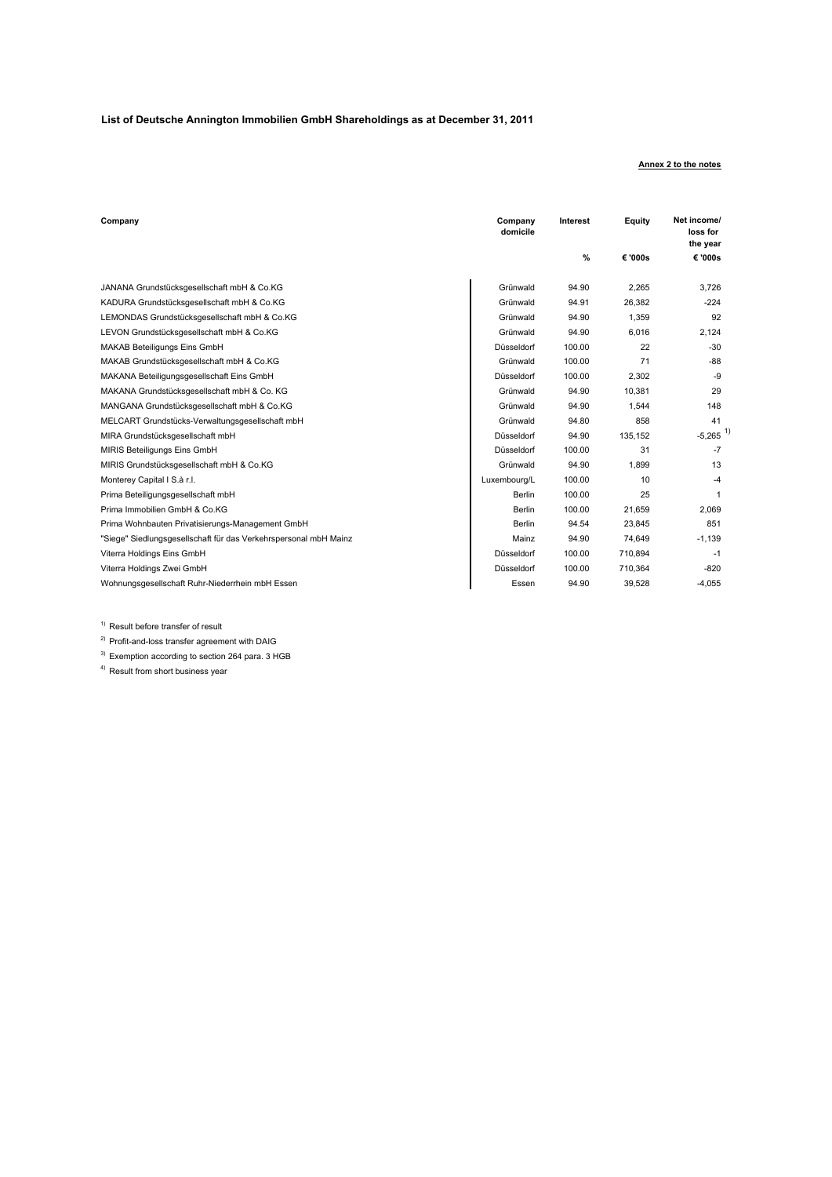#### **List of Deutsche Annington Immobilien GmbH Shareholdings as at December 31, 2011**

#### **Annex 2 to the notes**

| Company                                                          | Company<br>domicile | Interest | Equity  | Net income/<br>loss for<br>the year |
|------------------------------------------------------------------|---------------------|----------|---------|-------------------------------------|
|                                                                  |                     | $\%$     | € '000s | € '000s                             |
| JANANA Grundstücksgesellschaft mbH & Co.KG                       | Grünwald            | 94.90    | 2,265   | 3.726                               |
| KADURA Grundstücksgesellschaft mbH & Co.KG                       | Grünwald            | 94.91    | 26.382  | $-224$                              |
| LEMONDAS Grundstücksgesellschaft mbH & Co.KG                     | Grünwald            | 94.90    | 1.359   | 92                                  |
| LEVON Grundstücksgesellschaft mbH & Co.KG                        | Grünwald            | 94.90    | 6,016   | 2,124                               |
| MAKAB Beteiligungs Eins GmbH                                     | Düsseldorf          | 100.00   | 22      | $-30$                               |
| MAKAB Grundstücksgesellschaft mbH & Co.KG                        | Grünwald            | 100.00   | 71      | $-88$                               |
| MAKANA Beteiligungsgesellschaft Eins GmbH                        | Düsseldorf          | 100.00   | 2.302   | -9                                  |
| MAKANA Grundstücksgesellschaft mbH & Co. KG                      | Grünwald            | 94.90    | 10.381  | 29                                  |
| MANGANA Grundstücksgesellschaft mbH & Co.KG                      | Grünwald            | 94.90    | 1.544   | 148                                 |
| MELCART Grundstücks-Verwaltungsgesellschaft mbH                  | Grünwald            | 94.80    | 858     | 41                                  |
| MIRA Grundstücksgesellschaft mbH                                 | Düsseldorf          | 94.90    | 135,152 | $-5,265$ <sup>1</sup>               |
| MIRIS Beteiligungs Eins GmbH                                     | Düsseldorf          | 100.00   | 31      | $-7$                                |
| MIRIS Grundstücksgesellschaft mbH & Co.KG                        | Grünwald            | 94.90    | 1,899   | 13                                  |
| Monterey Capital I S.à r.l.                                      | Luxembourg/L        | 100.00   | 10      | $-4$                                |
| Prima Beteiligungsgesellschaft mbH                               | <b>Berlin</b>       | 100.00   | 25      | 1                                   |
| Prima Immobilien GmbH & Co.KG                                    | <b>Berlin</b>       | 100.00   | 21.659  | 2,069                               |
| Prima Wohnbauten Privatisierungs-Management GmbH                 | <b>Berlin</b>       | 94.54    | 23.845  | 851                                 |
| "Siege" Siedlungsgesellschaft für das Verkehrspersonal mbH Mainz | Mainz               | 94.90    | 74.649  | $-1.139$                            |
| Viterra Holdings Eins GmbH                                       | Düsseldorf          | 100.00   | 710,894 | $-1$                                |
| Viterra Holdings Zwei GmbH                                       | Düsseldorf          | 100.00   | 710.364 | $-820$                              |
| Wohnungsgesellschaft Ruhr-Niederrhein mbH Essen                  | Essen               | 94.90    | 39,528  | $-4,055$                            |

<sup>1)</sup> Result before transfer of result

2) Profit-and-loss transfer agreement with DAIG

 $3)$  Exemption according to section 264 para. 3 HGB

4) Result from short business year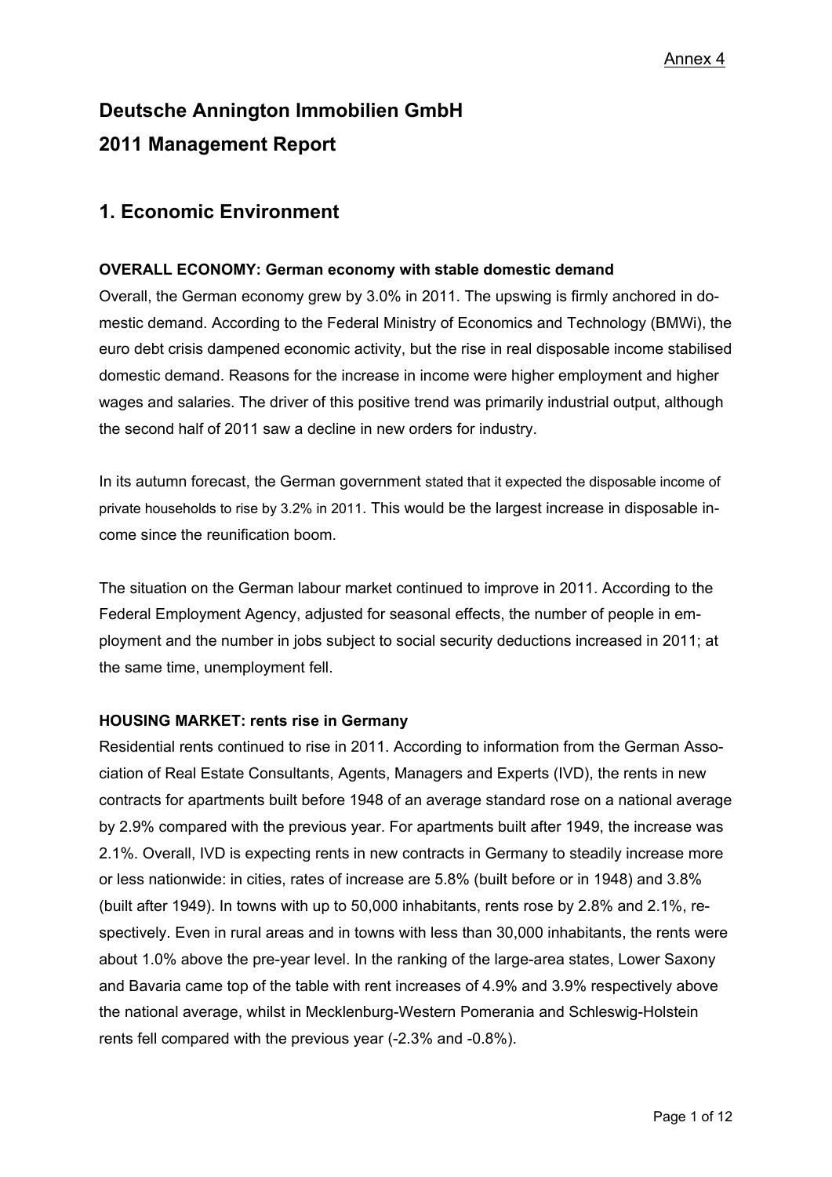# **Deutsche Annington Immobilien GmbH 2011 Management Report**

# **1. Economic Environment**

# **OVERALL ECONOMY: German economy with stable domestic demand**

Overall, the German economy grew by 3.0% in 2011. The upswing is firmly anchored in domestic demand. According to the Federal Ministry of Economics and Technology (BMWi), the euro debt crisis dampened economic activity, but the rise in real disposable income stabilised domestic demand. Reasons for the increase in income were higher employment and higher wages and salaries. The driver of this positive trend was primarily industrial output, although the second half of 2011 saw a decline in new orders for industry.

In its autumn forecast, the German government stated that it expected the disposable income of private households to rise by 3.2% in 2011. This would be the largest increase in disposable income since the reunification boom.

The situation on the German labour market continued to improve in 2011. According to the Federal Employment Agency, adjusted for seasonal effects, the number of people in employment and the number in jobs subject to social security deductions increased in 2011; at the same time, unemployment fell.

# **HOUSING MARKET: rents rise in Germany**

Residential rents continued to rise in 2011. According to information from the German Association of Real Estate Consultants, Agents, Managers and Experts (IVD), the rents in new contracts for apartments built before 1948 of an average standard rose on a national average by 2.9% compared with the previous year. For apartments built after 1949, the increase was 2.1%. Overall, IVD is expecting rents in new contracts in Germany to steadily increase more or less nationwide: in cities, rates of increase are 5.8% (built before or in 1948) and 3.8% (built after 1949). In towns with up to 50,000 inhabitants, rents rose by 2.8% and 2.1%, respectively. Even in rural areas and in towns with less than 30,000 inhabitants, the rents were about 1.0% above the pre-year level. In the ranking of the large-area states, Lower Saxony and Bavaria came top of the table with rent increases of 4.9% and 3.9% respectively above the national average, whilst in Mecklenburg-Western Pomerania and Schleswig-Holstein rents fell compared with the previous year (-2.3% and -0.8%).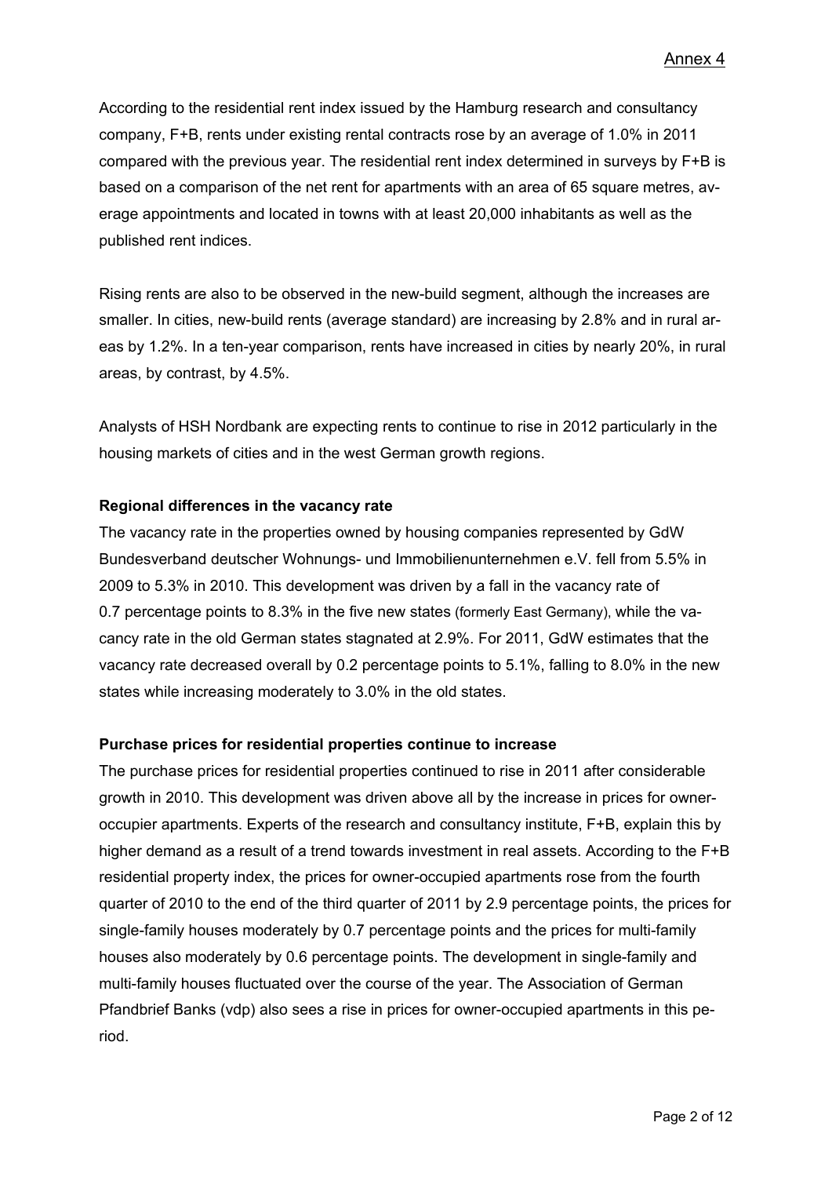According to the residential rent index issued by the Hamburg research and consultancy company, F+B, rents under existing rental contracts rose by an average of 1.0% in 2011 compared with the previous year. The residential rent index determined in surveys by F+B is based on a comparison of the net rent for apartments with an area of 65 square metres, average appointments and located in towns with at least 20,000 inhabitants as well as the published rent indices.

Rising rents are also to be observed in the new-build segment, although the increases are smaller. In cities, new-build rents (average standard) are increasing by 2.8% and in rural areas by 1.2%. In a ten-year comparison, rents have increased in cities by nearly 20%, in rural areas, by contrast, by 4.5%.

Analysts of HSH Nordbank are expecting rents to continue to rise in 2012 particularly in the housing markets of cities and in the west German growth regions.

# **Regional differences in the vacancy rate**

The vacancy rate in the properties owned by housing companies represented by GdW Bundesverband deutscher Wohnungs- und Immobilienunternehmen e.V. fell from 5.5% in 2009 to 5.3% in 2010. This development was driven by a fall in the vacancy rate of 0.7 percentage points to 8.3% in the five new states (formerly East Germany), while the vacancy rate in the old German states stagnated at 2.9%. For 2011, GdW estimates that the vacancy rate decreased overall by 0.2 percentage points to 5.1%, falling to 8.0% in the new states while increasing moderately to 3.0% in the old states.

#### **Purchase prices for residential properties continue to increase**

The purchase prices for residential properties continued to rise in 2011 after considerable growth in 2010. This development was driven above all by the increase in prices for owneroccupier apartments. Experts of the research and consultancy institute, F+B, explain this by higher demand as a result of a trend towards investment in real assets. According to the F+B residential property index, the prices for owner-occupied apartments rose from the fourth quarter of 2010 to the end of the third quarter of 2011 by 2.9 percentage points, the prices for single-family houses moderately by 0.7 percentage points and the prices for multi-family houses also moderately by 0.6 percentage points. The development in single-family and multi-family houses fluctuated over the course of the year. The Association of German Pfandbrief Banks (vdp) also sees a rise in prices for owner-occupied apartments in this period.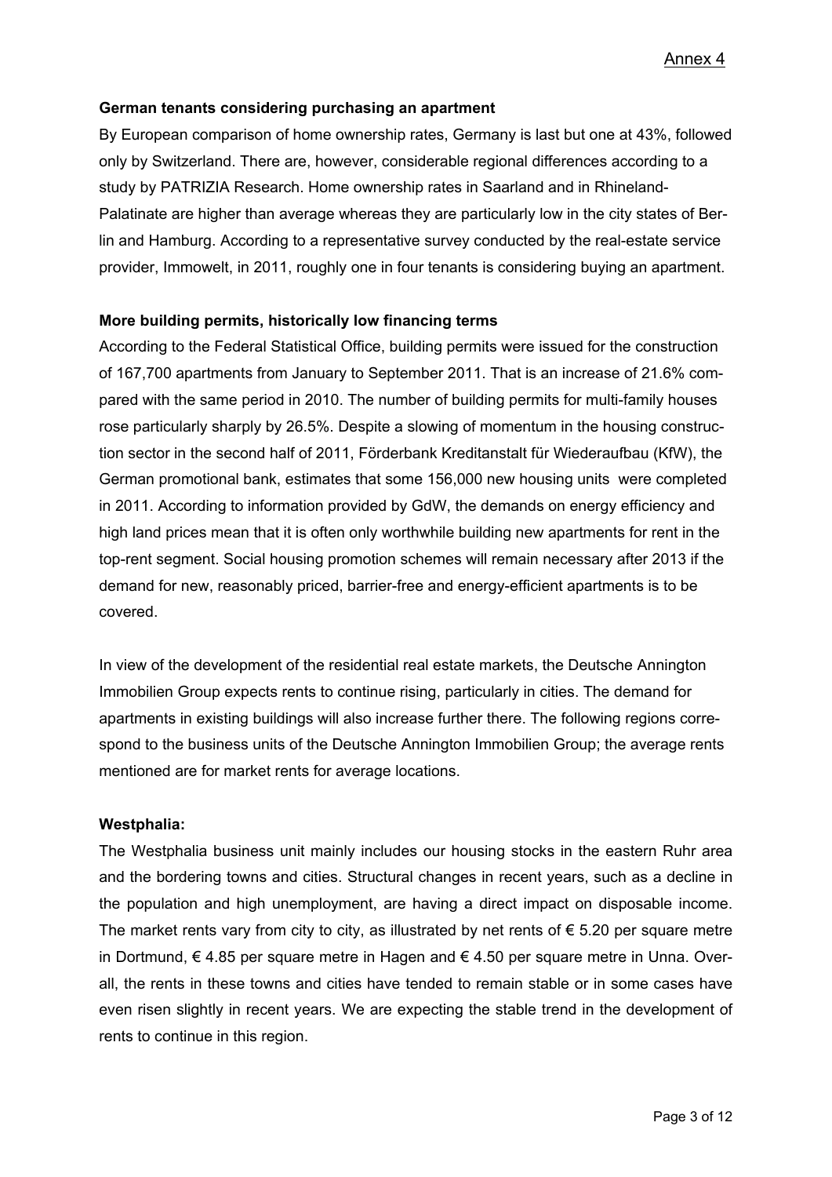# **German tenants considering purchasing an apartment**

By European comparison of home ownership rates, Germany is last but one at 43%, followed only by Switzerland. There are, however, considerable regional differences according to a study by PATRIZIA Research. Home ownership rates in Saarland and in Rhineland-Palatinate are higher than average whereas they are particularly low in the city states of Berlin and Hamburg. According to a representative survey conducted by the real-estate service provider, Immowelt, in 2011, roughly one in four tenants is considering buying an apartment.

# **More building permits, historically low financing terms**

According to the Federal Statistical Office, building permits were issued for the construction of 167,700 apartments from January to September 2011. That is an increase of 21.6% compared with the same period in 2010. The number of building permits for multi-family houses rose particularly sharply by 26.5%. Despite a slowing of momentum in the housing construction sector in the second half of 2011, Förderbank Kreditanstalt für Wiederaufbau (KfW), the German promotional bank, estimates that some 156,000 new housing units were completed in 2011. According to information provided by GdW, the demands on energy efficiency and high land prices mean that it is often only worthwhile building new apartments for rent in the top-rent segment. Social housing promotion schemes will remain necessary after 2013 if the demand for new, reasonably priced, barrier-free and energy-efficient apartments is to be covered.

In view of the development of the residential real estate markets, the Deutsche Annington Immobilien Group expects rents to continue rising, particularly in cities. The demand for apartments in existing buildings will also increase further there. The following regions correspond to the business units of the Deutsche Annington Immobilien Group; the average rents mentioned are for market rents for average locations.

# **Westphalia:**

The Westphalia business unit mainly includes our housing stocks in the eastern Ruhr area and the bordering towns and cities. Structural changes in recent years, such as a decline in the population and high unemployment, are having a direct impact on disposable income. The market rents vary from city to city, as illustrated by net rents of  $\epsilon$  5.20 per square metre in Dortmund, € 4.85 per square metre in Hagen and € 4.50 per square metre in Unna. Overall, the rents in these towns and cities have tended to remain stable or in some cases have even risen slightly in recent years. We are expecting the stable trend in the development of rents to continue in this region.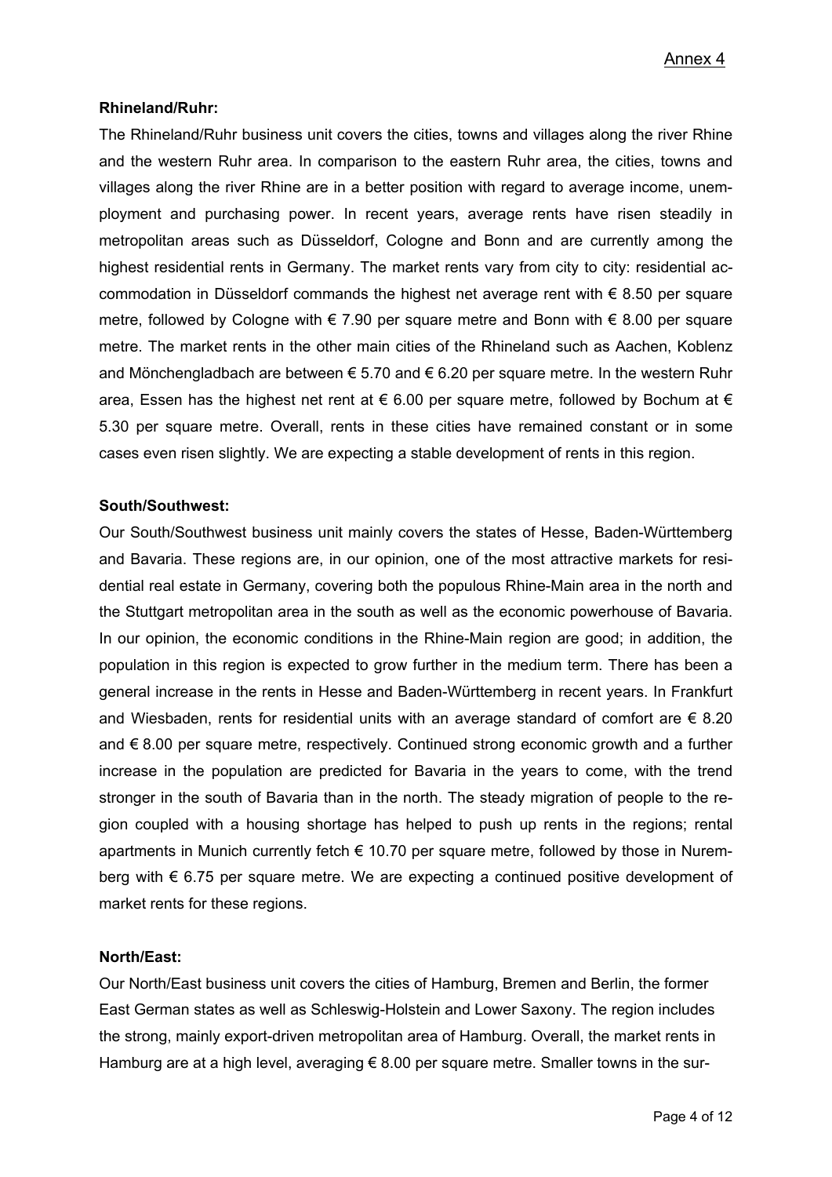# **Rhineland/Ruhr:**

The Rhineland/Ruhr business unit covers the cities, towns and villages along the river Rhine and the western Ruhr area. In comparison to the eastern Ruhr area, the cities, towns and villages along the river Rhine are in a better position with regard to average income, unemployment and purchasing power. In recent years, average rents have risen steadily in metropolitan areas such as Düsseldorf, Cologne and Bonn and are currently among the highest residential rents in Germany. The market rents vary from city to city: residential accommodation in Düsseldorf commands the highest net average rent with  $\epsilon$  8.50 per square metre, followed by Cologne with € 7.90 per square metre and Bonn with  $\epsilon$  8.00 per square metre. The market rents in the other main cities of the Rhineland such as Aachen, Koblenz and Mönchengladbach are between  $\epsilon$  5.70 and  $\epsilon$  6.20 per square metre. In the western Ruhr area, Essen has the highest net rent at  $\epsilon$  6.00 per square metre, followed by Bochum at  $\epsilon$ 5.30 per square metre. Overall, rents in these cities have remained constant or in some cases even risen slightly. We are expecting a stable development of rents in this region.

# **South/Southwest:**

Our South/Southwest business unit mainly covers the states of Hesse, Baden-Württemberg and Bavaria. These regions are, in our opinion, one of the most attractive markets for residential real estate in Germany, covering both the populous Rhine-Main area in the north and the Stuttgart metropolitan area in the south as well as the economic powerhouse of Bavaria. In our opinion, the economic conditions in the Rhine-Main region are good; in addition, the population in this region is expected to grow further in the medium term. There has been a general increase in the rents in Hesse and Baden-Württemberg in recent years. In Frankfurt and Wiesbaden, rents for residential units with an average standard of comfort are  $\epsilon$  8.20 and € 8.00 per square metre, respectively. Continued strong economic growth and a further increase in the population are predicted for Bavaria in the years to come, with the trend stronger in the south of Bavaria than in the north. The steady migration of people to the region coupled with a housing shortage has helped to push up rents in the regions; rental apartments in Munich currently fetch  $\epsilon$  10.70 per square metre, followed by those in Nuremberg with  $\epsilon$  6.75 per square metre. We are expecting a continued positive development of market rents for these regions.

### **North/East:**

Our North/East business unit covers the cities of Hamburg, Bremen and Berlin, the former East German states as well as Schleswig-Holstein and Lower Saxony. The region includes the strong, mainly export-driven metropolitan area of Hamburg. Overall, the market rents in Hamburg are at a high level, averaging  $\epsilon$  8.00 per square metre. Smaller towns in the sur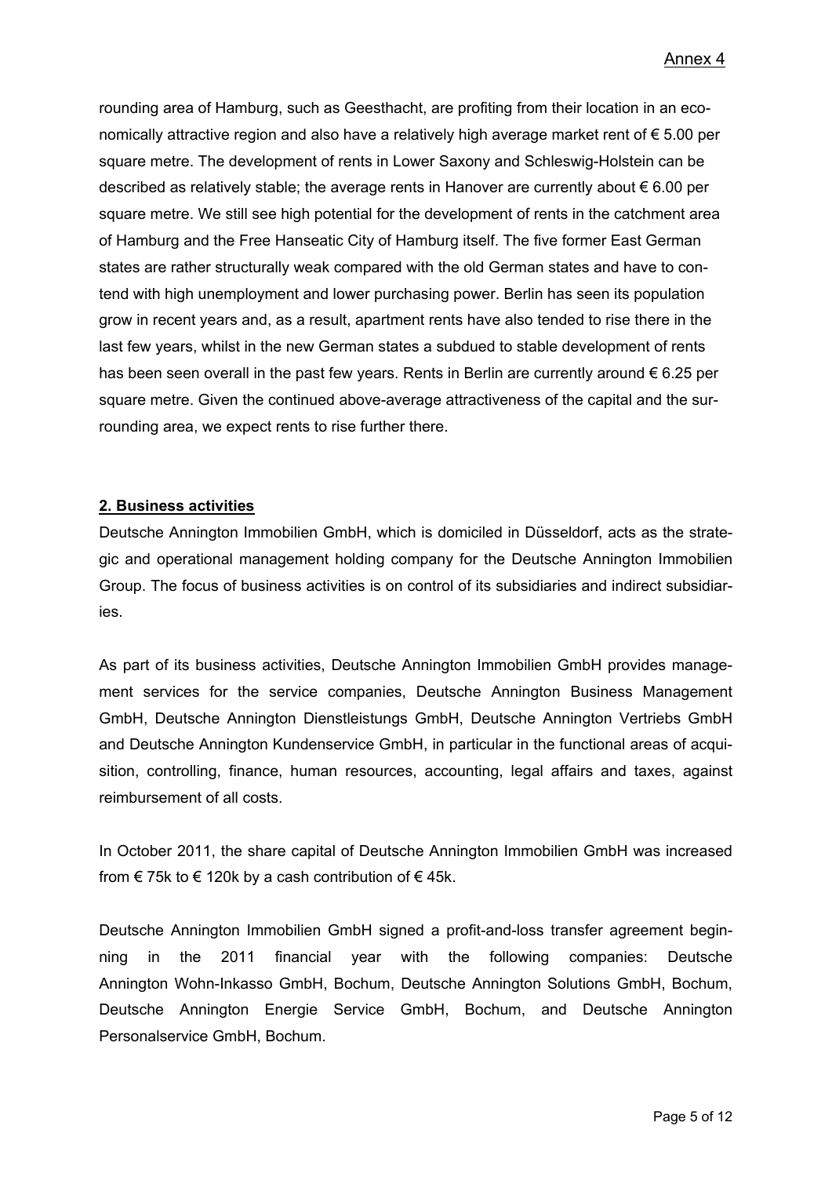rounding area of Hamburg, such as Geesthacht, are profiting from their location in an economically attractive region and also have a relatively high average market rent of € 5.00 per square metre. The development of rents in Lower Saxony and Schleswig-Holstein can be described as relatively stable; the average rents in Hanover are currently about € 6.00 per square metre. We still see high potential for the development of rents in the catchment area of Hamburg and the Free Hanseatic City of Hamburg itself. The five former East German states are rather structurally weak compared with the old German states and have to contend with high unemployment and lower purchasing power. Berlin has seen its population grow in recent years and, as a result, apartment rents have also tended to rise there in the last few years, whilst in the new German states a subdued to stable development of rents has been seen overall in the past few years. Rents in Berlin are currently around  $\epsilon$  6.25 per square metre. Given the continued above-average attractiveness of the capital and the surrounding area, we expect rents to rise further there.

# **2. Business activities**

Deutsche Annington Immobilien GmbH, which is domiciled in Düsseldorf, acts as the strategic and operational management holding company for the Deutsche Annington Immobilien Group. The focus of business activities is on control of its subsidiaries and indirect subsidiaries.

As part of its business activities, Deutsche Annington Immobilien GmbH provides management services for the service companies, Deutsche Annington Business Management GmbH, Deutsche Annington Dienstleistungs GmbH, Deutsche Annington Vertriebs GmbH and Deutsche Annington Kundenservice GmbH, in particular in the functional areas of acquisition, controlling, finance, human resources, accounting, legal affairs and taxes, against reimbursement of all costs.

In October 2011, the share capital of Deutsche Annington Immobilien GmbH was increased from  $\epsilon$  75k to  $\epsilon$  120k by a cash contribution of  $\epsilon$  45k.

Deutsche Annington Immobilien GmbH signed a profit-and-loss transfer agreement beginning in the 2011 financial year with the following companies: Deutsche Annington Wohn-Inkasso GmbH, Bochum, Deutsche Annington Solutions GmbH, Bochum, Deutsche Annington Energie Service GmbH, Bochum, and Deutsche Annington Personalservice GmbH, Bochum.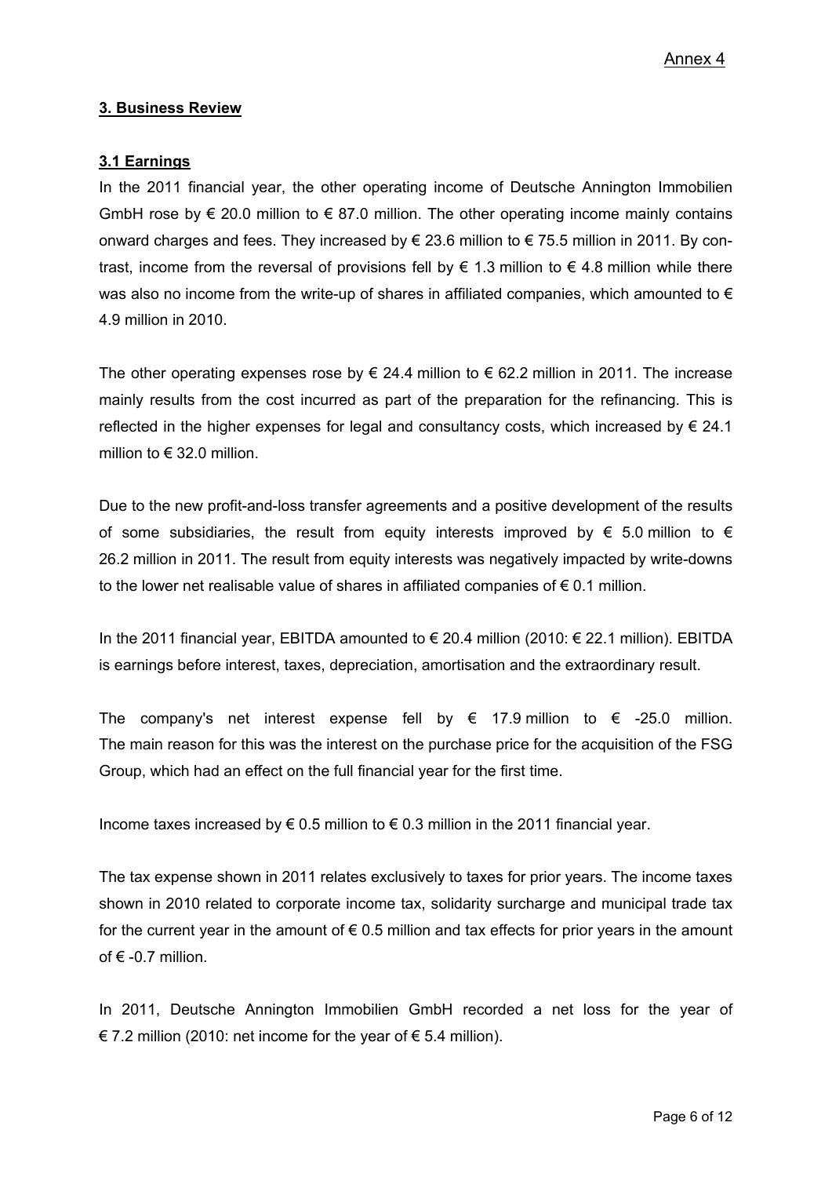# **3. Business Review**

# **3.1 Earnings**

In the 2011 financial year, the other operating income of Deutsche Annington Immobilien GmbH rose by € 20.0 million to € 87.0 million. The other operating income mainly contains onward charges and fees. They increased by  $\epsilon$  23.6 million to  $\epsilon$  75.5 million in 2011. By contrast, income from the reversal of provisions fell by  $\epsilon$  1.3 million to  $\epsilon$  4.8 million while there was also no income from the write-up of shares in affiliated companies, which amounted to  $\epsilon$ 4.9 million in 2010.

The other operating expenses rose by  $\epsilon$  24.4 million to  $\epsilon$  62.2 million in 2011. The increase mainly results from the cost incurred as part of the preparation for the refinancing. This is reflected in the higher expenses for legal and consultancy costs, which increased by  $\in$  24.1 million to  $\in$  32.0 million.

Due to the new profit-and-loss transfer agreements and a positive development of the results of some subsidiaries, the result from equity interests improved by  $\epsilon$  5.0 million to  $\epsilon$ 26.2 million in 2011. The result from equity interests was negatively impacted by write-downs to the lower net realisable value of shares in affiliated companies of  $\epsilon$  0.1 million.

In the 2011 financial year, EBITDA amounted to € 20.4 million (2010: € 22.1 million). EBITDA is earnings before interest, taxes, depreciation, amortisation and the extraordinary result.

The company's net interest expense fell by  $\epsilon$  17.9 million to  $\epsilon$  -25.0 million. The main reason for this was the interest on the purchase price for the acquisition of the FSG Group, which had an effect on the full financial year for the first time.

Income taxes increased by  $\epsilon$  0.5 million to  $\epsilon$  0.3 million in the 2011 financial year.

The tax expense shown in 2011 relates exclusively to taxes for prior years. The income taxes shown in 2010 related to corporate income tax, solidarity surcharge and municipal trade tax for the current year in the amount of  $\epsilon$  0.5 million and tax effects for prior years in the amount of  $\epsilon$  -0.7 million.

In 2011, Deutsche Annington Immobilien GmbH recorded a net loss for the year of € 7.2 million (2010: net income for the year of  $€$  5.4 million).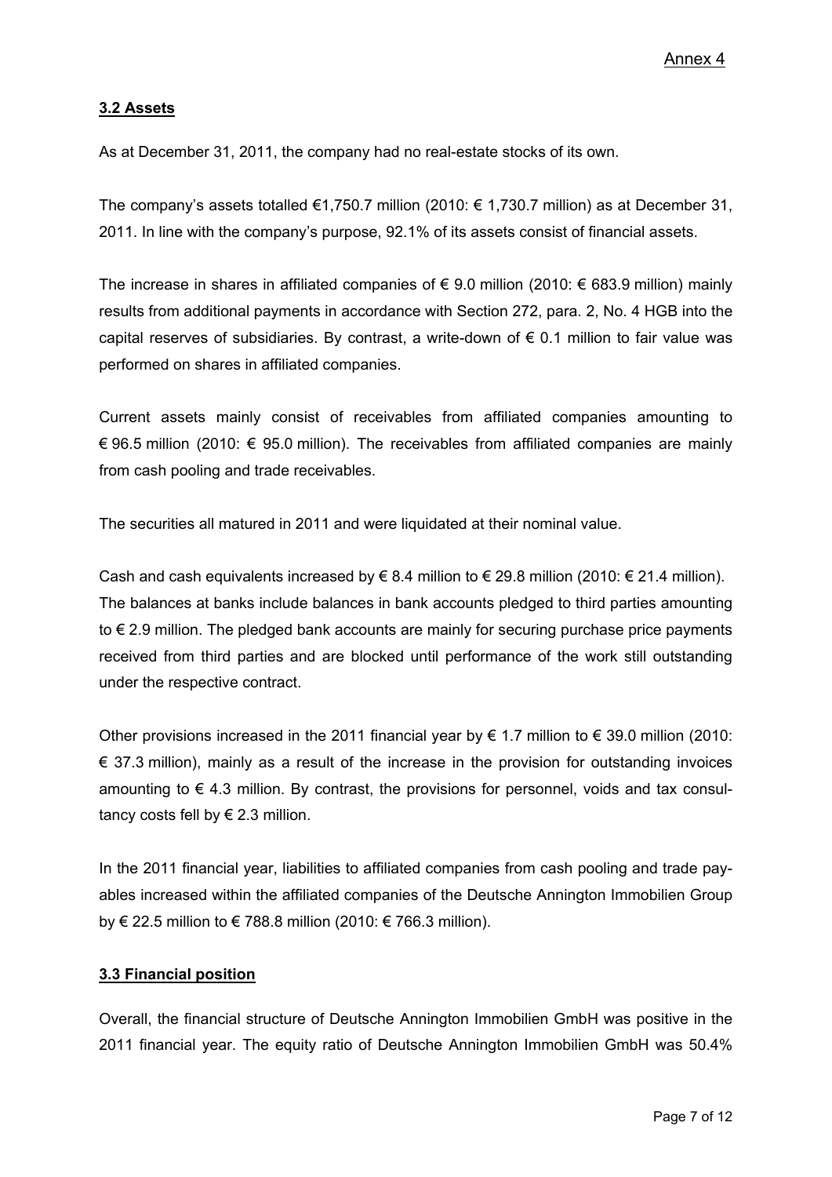# **3.2 Assets**

As at December 31, 2011, the company had no real-estate stocks of its own.

The company's assets totalled  $\epsilon$ 1,750.7 million (2010:  $\epsilon$  1,730.7 million) as at December 31, 2011. In line with the company's purpose, 92.1% of its assets consist of financial assets.

The increase in shares in affiliated companies of  $\epsilon$  9.0 million (2010:  $\epsilon$  683.9 million) mainly results from additional payments in accordance with Section 272, para. 2, No. 4 HGB into the capital reserves of subsidiaries. By contrast, a write-down of  $\epsilon$  0.1 million to fair value was performed on shares in affiliated companies.

Current assets mainly consist of receivables from affiliated companies amounting to € 96.5 million (2010: € 95.0 million). The receivables from affiliated companies are mainly from cash pooling and trade receivables.

The securities all matured in 2011 and were liquidated at their nominal value.

Cash and cash equivalents increased by € 8.4 million to € 29.8 million (2010: € 21.4 million). The balances at banks include balances in bank accounts pledged to third parties amounting to € 2.9 million. The pledged bank accounts are mainly for securing purchase price payments received from third parties and are blocked until performance of the work still outstanding under the respective contract.

Other provisions increased in the 2011 financial year by  $\epsilon$  1.7 million to  $\epsilon$  39.0 million (2010:  $\epsilon$  37.3 million), mainly as a result of the increase in the provision for outstanding invoices amounting to  $\epsilon$  4.3 million. By contrast, the provisions for personnel, voids and tax consultancy costs fell by  $\in$  2.3 million.

In the 2011 financial year, liabilities to affiliated companies from cash pooling and trade payables increased within the affiliated companies of the Deutsche Annington Immobilien Group by € 22.5 million to € 788.8 million (2010: € 766.3 million).

#### **3.3 Financial position**

Overall, the financial structure of Deutsche Annington Immobilien GmbH was positive in the 2011 financial year. The equity ratio of Deutsche Annington Immobilien GmbH was 50.4%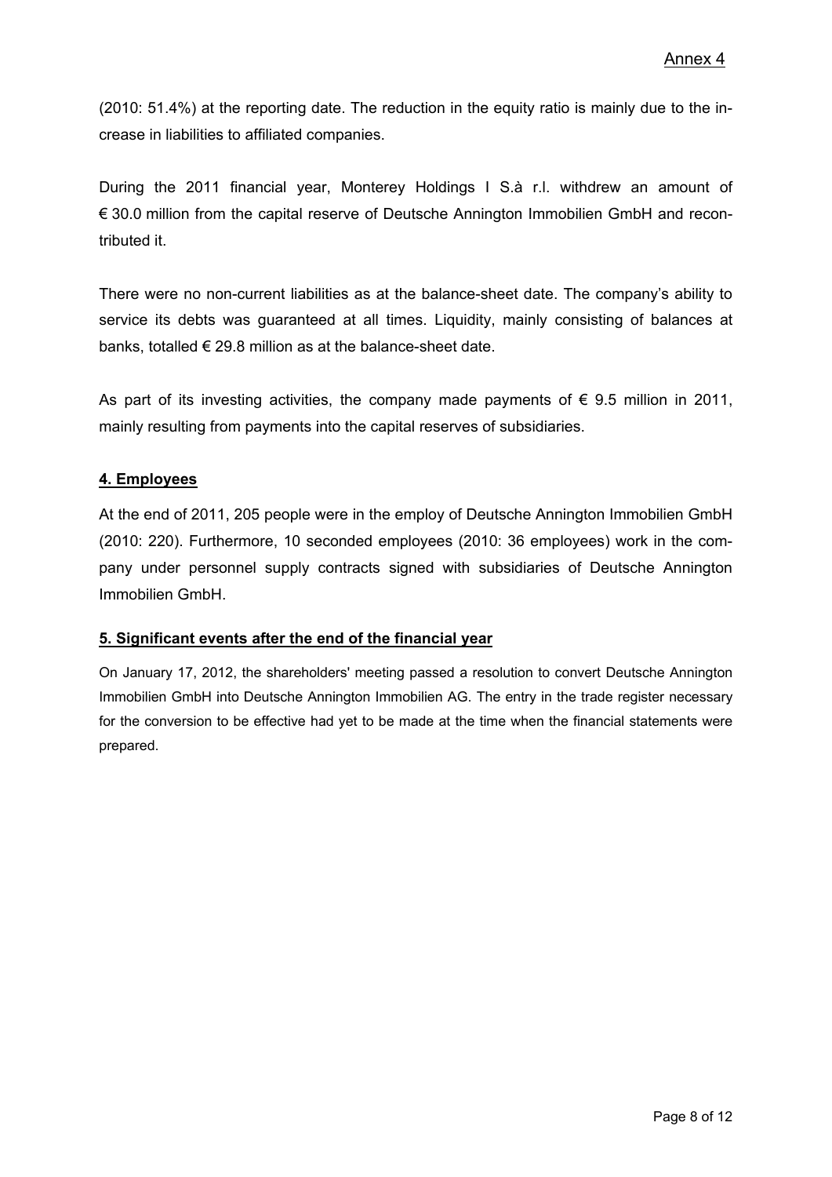(2010: 51.4%) at the reporting date. The reduction in the equity ratio is mainly due to the increase in liabilities to affiliated companies.

During the 2011 financial year, Monterey Holdings I S.à r.l. withdrew an amount of € 30.0 million from the capital reserve of Deutsche Annington Immobilien GmbH and recontributed it.

There were no non-current liabilities as at the balance-sheet date. The company's ability to service its debts was guaranteed at all times. Liquidity, mainly consisting of balances at banks, totalled  $\epsilon$  29.8 million as at the balance-sheet date.

As part of its investing activities, the company made payments of  $\epsilon$  9.5 million in 2011, mainly resulting from payments into the capital reserves of subsidiaries.

# **4. Employees**

At the end of 2011, 205 people were in the employ of Deutsche Annington Immobilien GmbH (2010: 220). Furthermore, 10 seconded employees (2010: 36 employees) work in the company under personnel supply contracts signed with subsidiaries of Deutsche Annington Immobilien GmbH.

# **5. Significant events after the end of the financial year**

On January 17, 2012, the shareholders' meeting passed a resolution to convert Deutsche Annington Immobilien GmbH into Deutsche Annington Immobilien AG. The entry in the trade register necessary for the conversion to be effective had yet to be made at the time when the financial statements were prepared.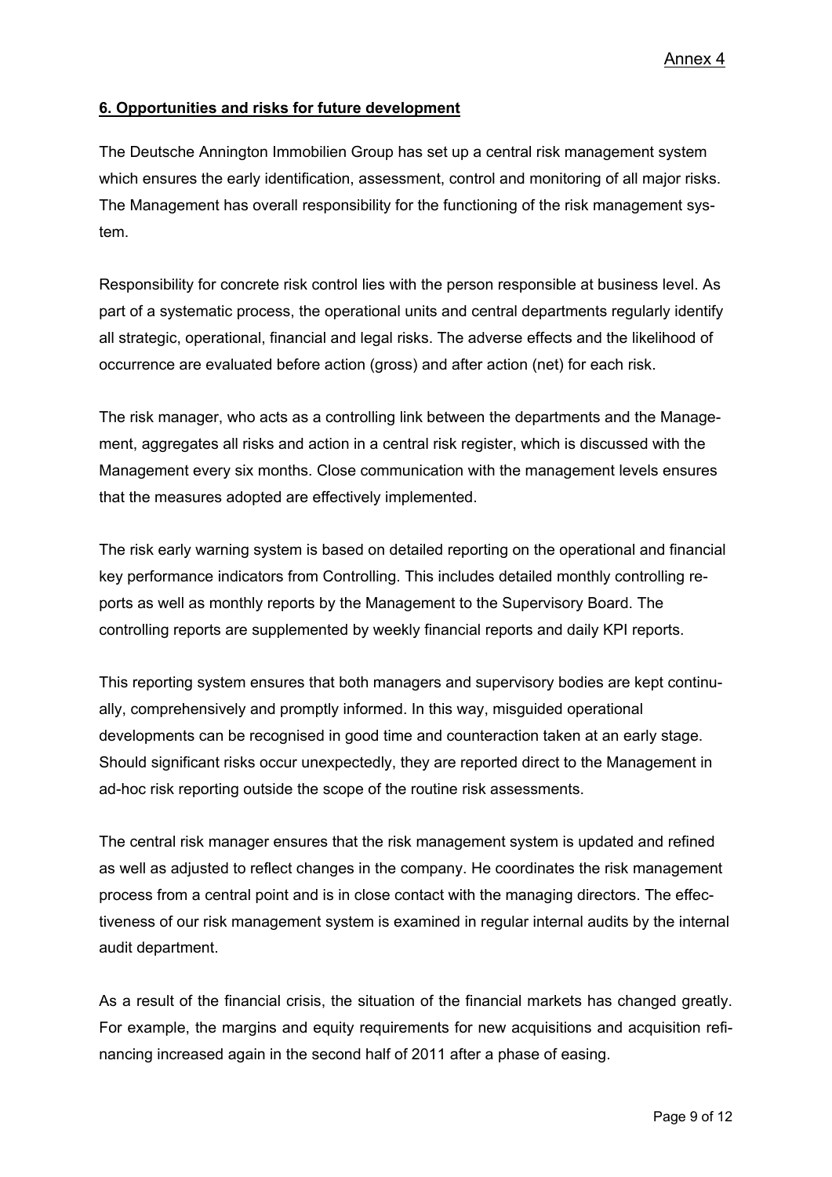# **6. Opportunities and risks for future development**

The Deutsche Annington Immobilien Group has set up a central risk management system which ensures the early identification, assessment, control and monitoring of all major risks. The Management has overall responsibility for the functioning of the risk management system.

Responsibility for concrete risk control lies with the person responsible at business level. As part of a systematic process, the operational units and central departments regularly identify all strategic, operational, financial and legal risks. The adverse effects and the likelihood of occurrence are evaluated before action (gross) and after action (net) for each risk.

The risk manager, who acts as a controlling link between the departments and the Management, aggregates all risks and action in a central risk register, which is discussed with the Management every six months. Close communication with the management levels ensures that the measures adopted are effectively implemented.

The risk early warning system is based on detailed reporting on the operational and financial key performance indicators from Controlling. This includes detailed monthly controlling reports as well as monthly reports by the Management to the Supervisory Board. The controlling reports are supplemented by weekly financial reports and daily KPI reports.

This reporting system ensures that both managers and supervisory bodies are kept continually, comprehensively and promptly informed. In this way, misguided operational developments can be recognised in good time and counteraction taken at an early stage. Should significant risks occur unexpectedly, they are reported direct to the Management in ad-hoc risk reporting outside the scope of the routine risk assessments.

The central risk manager ensures that the risk management system is updated and refined as well as adjusted to reflect changes in the company. He coordinates the risk management process from a central point and is in close contact with the managing directors. The effectiveness of our risk management system is examined in regular internal audits by the internal audit department.

As a result of the financial crisis, the situation of the financial markets has changed greatly. For example, the margins and equity requirements for new acquisitions and acquisition refinancing increased again in the second half of 2011 after a phase of easing.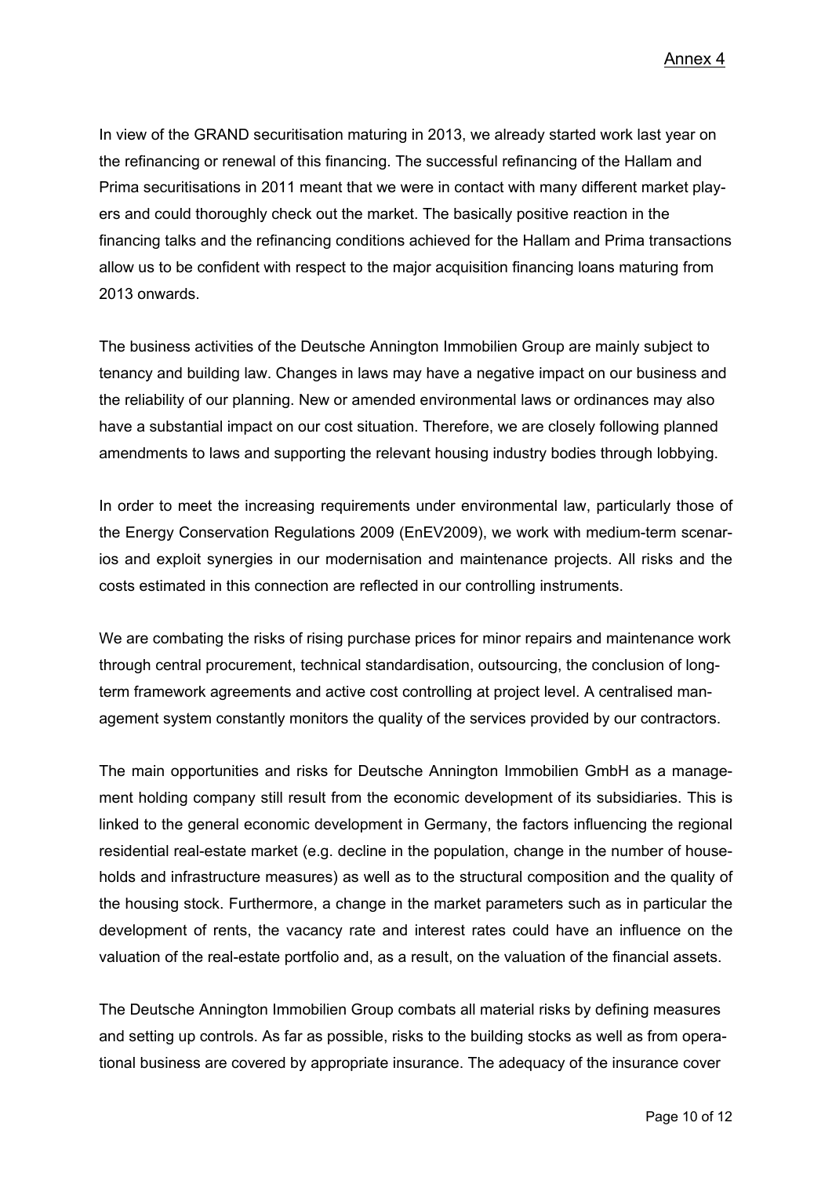Annex 4

In view of the GRAND securitisation maturing in 2013, we already started work last year on the refinancing or renewal of this financing. The successful refinancing of the Hallam and Prima securitisations in 2011 meant that we were in contact with many different market players and could thoroughly check out the market. The basically positive reaction in the financing talks and the refinancing conditions achieved for the Hallam and Prima transactions allow us to be confident with respect to the major acquisition financing loans maturing from 2013 onwards.

The business activities of the Deutsche Annington Immobilien Group are mainly subject to tenancy and building law. Changes in laws may have a negative impact on our business and the reliability of our planning. New or amended environmental laws or ordinances may also have a substantial impact on our cost situation. Therefore, we are closely following planned amendments to laws and supporting the relevant housing industry bodies through lobbying.

In order to meet the increasing requirements under environmental law, particularly those of the Energy Conservation Regulations 2009 (EnEV2009), we work with medium-term scenarios and exploit synergies in our modernisation and maintenance projects. All risks and the costs estimated in this connection are reflected in our controlling instruments.

We are combating the risks of rising purchase prices for minor repairs and maintenance work through central procurement, technical standardisation, outsourcing, the conclusion of longterm framework agreements and active cost controlling at project level. A centralised management system constantly monitors the quality of the services provided by our contractors.

The main opportunities and risks for Deutsche Annington Immobilien GmbH as a management holding company still result from the economic development of its subsidiaries. This is linked to the general economic development in Germany, the factors influencing the regional residential real-estate market (e.g. decline in the population, change in the number of households and infrastructure measures) as well as to the structural composition and the quality of the housing stock. Furthermore, a change in the market parameters such as in particular the development of rents, the vacancy rate and interest rates could have an influence on the valuation of the real-estate portfolio and, as a result, on the valuation of the financial assets.

The Deutsche Annington Immobilien Group combats all material risks by defining measures and setting up controls. As far as possible, risks to the building stocks as well as from operational business are covered by appropriate insurance. The adequacy of the insurance cover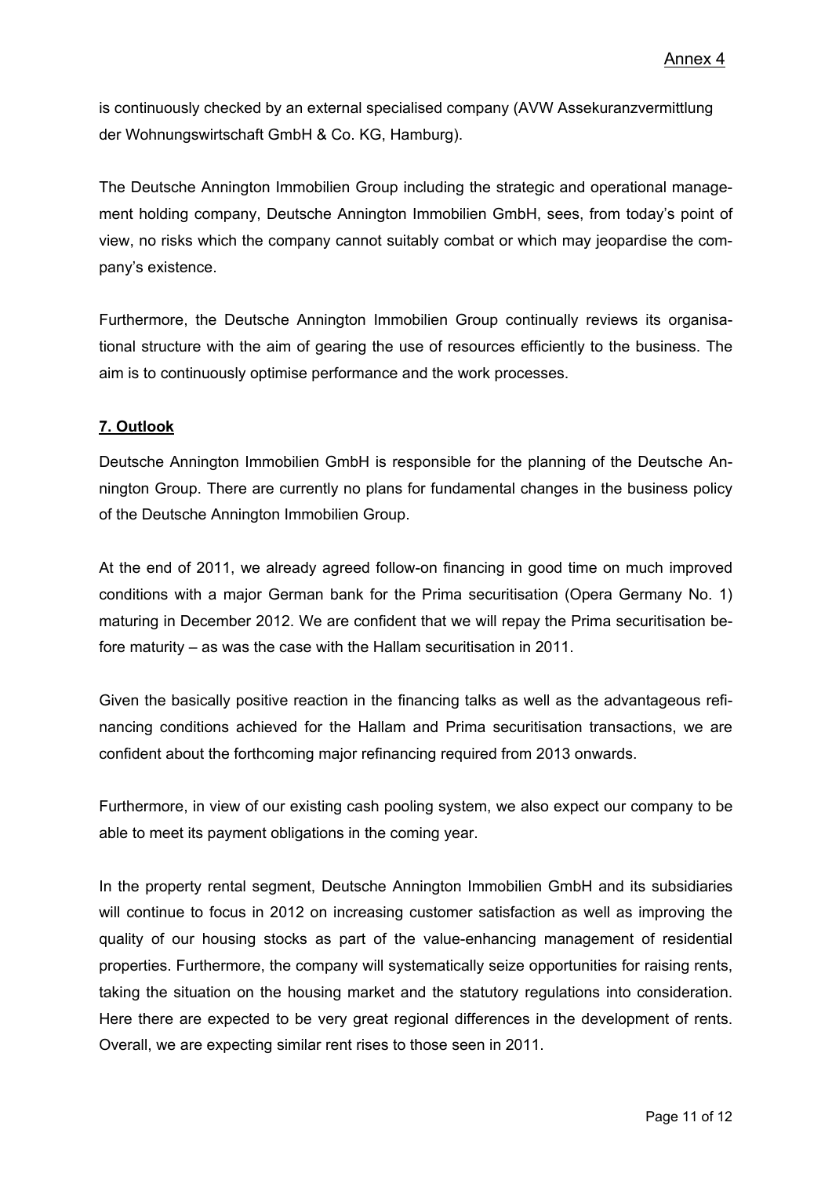is continuously checked by an external specialised company (AVW Assekuranzvermittlung der Wohnungswirtschaft GmbH & Co. KG, Hamburg).

The Deutsche Annington Immobilien Group including the strategic and operational management holding company, Deutsche Annington Immobilien GmbH, sees, from today's point of view, no risks which the company cannot suitably combat or which may jeopardise the company's existence.

Furthermore, the Deutsche Annington Immobilien Group continually reviews its organisational structure with the aim of gearing the use of resources efficiently to the business. The aim is to continuously optimise performance and the work processes.

# **7. Outlook**

Deutsche Annington Immobilien GmbH is responsible for the planning of the Deutsche Annington Group. There are currently no plans for fundamental changes in the business policy of the Deutsche Annington Immobilien Group.

At the end of 2011, we already agreed follow-on financing in good time on much improved conditions with a major German bank for the Prima securitisation (Opera Germany No. 1) maturing in December 2012. We are confident that we will repay the Prima securitisation before maturity – as was the case with the Hallam securitisation in 2011.

Given the basically positive reaction in the financing talks as well as the advantageous refinancing conditions achieved for the Hallam and Prima securitisation transactions, we are confident about the forthcoming major refinancing required from 2013 onwards.

Furthermore, in view of our existing cash pooling system, we also expect our company to be able to meet its payment obligations in the coming year.

In the property rental segment, Deutsche Annington Immobilien GmbH and its subsidiaries will continue to focus in 2012 on increasing customer satisfaction as well as improving the quality of our housing stocks as part of the value-enhancing management of residential properties. Furthermore, the company will systematically seize opportunities for raising rents, taking the situation on the housing market and the statutory regulations into consideration. Here there are expected to be very great regional differences in the development of rents. Overall, we are expecting similar rent rises to those seen in 2011.